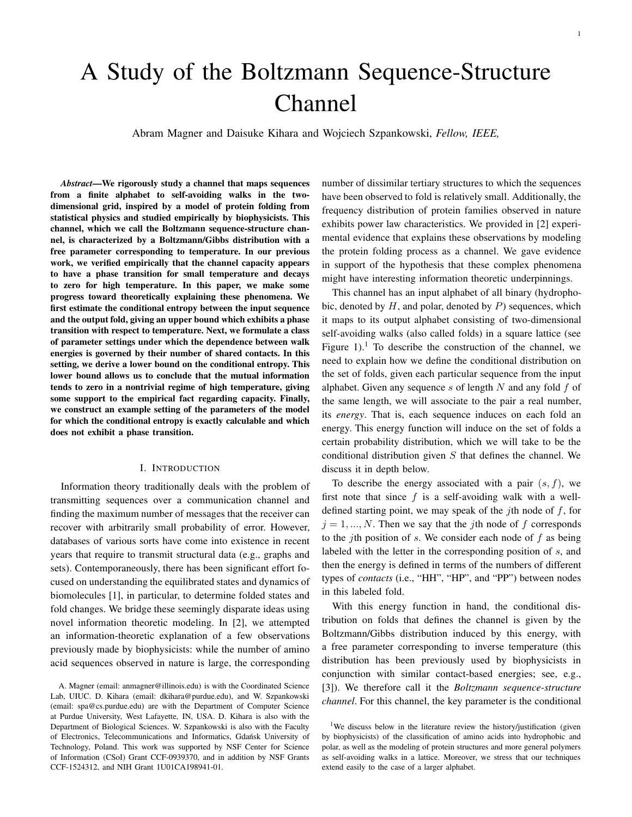# A Study of the Boltzmann Sequence-Structure Channel

Abram Magner and Daisuke Kihara and Wojciech Szpankowski, *Fellow, IEEE,*

*Abstract*—We rigorously study a channel that maps sequences from a finite alphabet to self-avoiding walks in the twodimensional grid, inspired by a model of protein folding from statistical physics and studied empirically by biophysicists. This channel, which we call the Boltzmann sequence-structure channel, is characterized by a Boltzmann/Gibbs distribution with a free parameter corresponding to temperature. In our previous work, we verified empirically that the channel capacity appears to have a phase transition for small temperature and decays to zero for high temperature. In this paper, we make some progress toward theoretically explaining these phenomena. We first estimate the conditional entropy between the input sequence and the output fold, giving an upper bound which exhibits a phase transition with respect to temperature. Next, we formulate a class of parameter settings under which the dependence between walk energies is governed by their number of shared contacts. In this setting, we derive a lower bound on the conditional entropy. This lower bound allows us to conclude that the mutual information tends to zero in a nontrivial regime of high temperature, giving some support to the empirical fact regarding capacity. Finally, we construct an example setting of the parameters of the model for which the conditional entropy is exactly calculable and which does not exhibit a phase transition.

## I. INTRODUCTION

Information theory traditionally deals with the problem of transmitting sequences over a communication channel and finding the maximum number of messages that the receiver can recover with arbitrarily small probability of error. However, databases of various sorts have come into existence in recent years that require to transmit structural data (e.g., graphs and sets). Contemporaneously, there has been significant effort focused on understanding the equilibrated states and dynamics of biomolecules [1], in particular, to determine folded states and fold changes. We bridge these seemingly disparate ideas using novel information theoretic modeling. In [2], we attempted an information-theoretic explanation of a few observations previously made by biophysicists: while the number of amino acid sequences observed in nature is large, the corresponding

number of dissimilar tertiary structures to which the sequences have been observed to fold is relatively small. Additionally, the frequency distribution of protein families observed in nature exhibits power law characteristics. We provided in [2] experimental evidence that explains these observations by modeling the protein folding process as a channel. We gave evidence in support of the hypothesis that these complex phenomena might have interesting information theoretic underpinnings.

This channel has an input alphabet of all binary (hydrophobic, denoted by  $H$ , and polar, denoted by  $P$ ) sequences, which it maps to its output alphabet consisting of two-dimensional self-avoiding walks (also called folds) in a square lattice (see Figure 1).<sup>1</sup> To describe the construction of the channel, we need to explain how we define the conditional distribution on the set of folds, given each particular sequence from the input alphabet. Given any sequence  $s$  of length  $N$  and any fold  $f$  of the same length, we will associate to the pair a real number, its *energy*. That is, each sequence induces on each fold an energy. This energy function will induce on the set of folds a certain probability distribution, which we will take to be the conditional distribution given  $S$  that defines the channel. We discuss it in depth below.

To describe the energy associated with a pair  $(s, f)$ , we first note that since  $f$  is a self-avoiding walk with a welldefined starting point, we may speak of the jth node of  $f$ , for  $j = 1, ..., N$ . Then we say that the jth node of f corresponds to the *j*th position of  $s$ . We consider each node of  $f$  as being labeled with the letter in the corresponding position of s, and then the energy is defined in terms of the numbers of different types of *contacts* (i.e., "HH", "HP", and "PP") between nodes in this labeled fold.

With this energy function in hand, the conditional distribution on folds that defines the channel is given by the Boltzmann/Gibbs distribution induced by this energy, with a free parameter corresponding to inverse temperature (this distribution has been previously used by biophysicists in conjunction with similar contact-based energies; see, e.g., [3]). We therefore call it the *Boltzmann sequence-structure channel*. For this channel, the key parameter is the conditional

A. Magner (email: anmagner@illinois.edu) is with the Coordinated Science Lab, UIUC. D. Kihara (email: dkihara@purdue.edu), and W. Szpankowski (email: spa@cs.purdue.edu) are with the Department of Computer Science at Purdue University, West Lafayette, IN, USA. D. Kihara is also with the Department of Biological Sciences. W. Szpankowski is also with the Faculty of Electronics, Telecommunications and Informatics, Gdańsk University of Technology, Poland. This work was supported by NSF Center for Science of Information (CSoI) Grant CCF-0939370, and in addition by NSF Grants CCF-1524312, and NIH Grant 1U01CA198941-01.

<sup>&</sup>lt;sup>1</sup>We discuss below in the literature review the history/justification (given by biophysicists) of the classification of amino acids into hydrophobic and polar, as well as the modeling of protein structures and more general polymers as self-avoiding walks in a lattice. Moreover, we stress that our techniques extend easily to the case of a larger alphabet.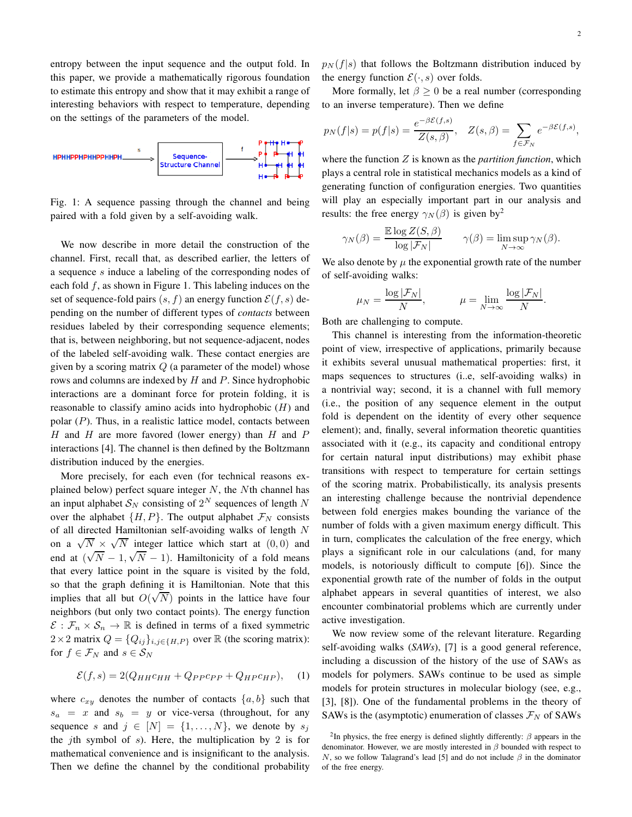entropy between the input sequence and the output fold. In this paper, we provide a mathematically rigorous foundation to estimate this entropy and show that it may exhibit a range of interesting behaviors with respect to temperature, depending on the settings of the parameters of the model.



Fig. 1: A sequence passing through the channel and being paired with a fold given by a self-avoiding walk.

We now describe in more detail the construction of the channel. First, recall that, as described earlier, the letters of a sequence s induce a labeling of the corresponding nodes of each fold  $f$ , as shown in Figure 1. This labeling induces on the set of sequence-fold pairs  $(s, f)$  an energy function  $\mathcal{E}(f, s)$  depending on the number of different types of *contacts* between residues labeled by their corresponding sequence elements; that is, between neighboring, but not sequence-adjacent, nodes of the labeled self-avoiding walk. These contact energies are given by a scoring matrix  $Q$  (a parameter of the model) whose rows and columns are indexed by H and P. Since hydrophobic interactions are a dominant force for protein folding, it is reasonable to classify amino acids into hydrophobic  $(H)$  and polar  $(P)$ . Thus, in a realistic lattice model, contacts between H and H are more favored (lower energy) than H and  $P$ interactions [4]. The channel is then defined by the Boltzmann distribution induced by the energies.

More precisely, for each even (for technical reasons explained below) perfect square integer  $N$ , the  $N$ th channel has an input alphabet  $S_N$  consisting of  $2^N$  sequences of length N over the alphabet  $\{H, P\}$ . The output alphabet  $\mathcal{F}_N$  consists of all directed Hamiltonian self-avoiding walks of length N on a  $\sqrt{N} \times \sqrt{N}$  integer lattice which start at  $(0,0)$  and end at  $(\sqrt{N} - 1, \sqrt{N} - 1)$ . Hamiltonicity of a fold means that every lattice point in the square is visited by the fold, so that the graph defining it is Hamiltonian. Note that this implies that all but  $O(\sqrt{N})$  points in the lattice have four neighbors (but only two contact points). The energy function  $\mathcal{E}: \mathcal{F}_n \times \mathcal{S}_n \to \mathbb{R}$  is defined in terms of a fixed symmetric 2 × 2 matrix  $Q = \{Q_{ij}\}_{i,j \in \{H,P\}}$  over R (the scoring matrix): for  $f \in \mathcal{F}_N$  and  $s \in \mathcal{S}_N$ 

$$
\mathcal{E}(f,s) = 2(Q_{HH}c_{HH} + Q_{PP}c_{PP} + Q_{HP}c_{HP}), \quad (1)
$$

where  $c_{xy}$  denotes the number of contacts  $\{a, b\}$  such that  $s_a = x$  and  $s_b = y$  or vice-versa (throughout, for any sequence s and  $j \in [N] = \{1, ..., N\}$ , we denote by  $s_j$ the *j*th symbol of  $s$ ). Here, the multiplication by 2 is for mathematical convenience and is insignificant to the analysis. Then we define the channel by the conditional probability

 $p_N(f|s)$  that follows the Boltzmann distribution induced by the energy function  $\mathcal{E}(\cdot, s)$  over folds.

More formally, let  $\beta \geq 0$  be a real number (corresponding to an inverse temperature). Then we define

$$
p_N(f|s) = p(f|s) = \frac{e^{-\beta \mathcal{E}(f,s)}}{Z(s,\beta)}, \quad Z(s,\beta) = \sum_{f \in \mathcal{F}_N} e^{-\beta \mathcal{E}(f,s)},
$$

where the function Z is known as the *partition function*, which plays a central role in statistical mechanics models as a kind of generating function of configuration energies. Two quantities will play an especially important part in our analysis and results: the free energy  $\gamma_N(\beta)$  is given by<sup>2</sup>

$$
\gamma_N(\beta) = \frac{\mathbb{E} \log Z(S, \beta)}{\log |\mathcal{F}_N|} \qquad \gamma(\beta) = \limsup_{N \to \infty} \gamma_N(\beta).
$$

We also denote by  $\mu$  the exponential growth rate of the number of self-avoiding walks:

$$
\mu_N = \frac{\log |\mathcal{F}_N|}{N}, \qquad \mu = \lim_{N \to \infty} \frac{\log |\mathcal{F}_N|}{N}.
$$

Both are challenging to compute.

This channel is interesting from the information-theoretic point of view, irrespective of applications, primarily because it exhibits several unusual mathematical properties: first, it maps sequences to structures (i..e, self-avoiding walks) in a nontrivial way; second, it is a channel with full memory (i.e., the position of any sequence element in the output fold is dependent on the identity of every other sequence element); and, finally, several information theoretic quantities associated with it (e.g., its capacity and conditional entropy for certain natural input distributions) may exhibit phase transitions with respect to temperature for certain settings of the scoring matrix. Probabilistically, its analysis presents an interesting challenge because the nontrivial dependence between fold energies makes bounding the variance of the number of folds with a given maximum energy difficult. This in turn, complicates the calculation of the free energy, which plays a significant role in our calculations (and, for many models, is notoriously difficult to compute [6]). Since the exponential growth rate of the number of folds in the output alphabet appears in several quantities of interest, we also encounter combinatorial problems which are currently under active investigation.

We now review some of the relevant literature. Regarding self-avoiding walks (*SAWs*), [7] is a good general reference, including a discussion of the history of the use of SAWs as models for polymers. SAWs continue to be used as simple models for protein structures in molecular biology (see, e.g., [3], [8]). One of the fundamental problems in the theory of SAWs is the (asymptotic) enumeration of classes  $\mathcal{F}_N$  of SAWs

<sup>&</sup>lt;sup>2</sup>In physics, the free energy is defined slightly differently:  $\beta$  appears in the denominator. However, we are mostly interested in  $\beta$  bounded with respect to N, so we follow Talagrand's lead [5] and do not include  $\beta$  in the dominator of the free energy.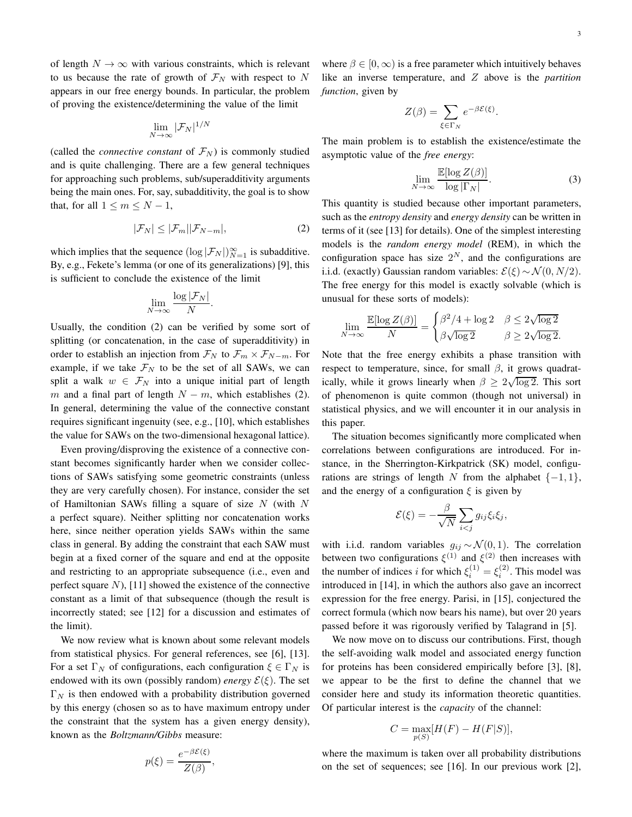of length  $N \to \infty$  with various constraints, which is relevant to us because the rate of growth of  $\mathcal{F}_N$  with respect to N appears in our free energy bounds. In particular, the problem of proving the existence/determining the value of the limit

$$
\lim_{N\to\infty}|\mathcal{F}_N|^{1/N}
$$

(called the *connective constant* of  $\mathcal{F}_N$ ) is commonly studied and is quite challenging. There are a few general techniques for approaching such problems, sub/superadditivity arguments being the main ones. For, say, subadditivity, the goal is to show that, for all  $1 \leq m \leq N-1$ ,

$$
|\mathcal{F}_N| \le |\mathcal{F}_m||\mathcal{F}_{N-m}|,\tag{2}
$$

.

which implies that the sequence  $(\log |\mathcal{F}_N|)_{N=1}^{\infty}$  is subadditive. By, e.g., Fekete's lemma (or one of its generalizations) [9], this is sufficient to conclude the existence of the limit

$$
\lim_{N \to \infty} \frac{\log |\mathcal{F}_N|}{N}
$$

Usually, the condition (2) can be verified by some sort of splitting (or concatenation, in the case of superadditivity) in order to establish an injection from  $\mathcal{F}_N$  to  $\mathcal{F}_m \times \mathcal{F}_{N-m}$ . For example, if we take  $\mathcal{F}_N$  to be the set of all SAWs, we can split a walk  $w \in \mathcal{F}_N$  into a unique initial part of length m and a final part of length  $N - m$ , which establishes (2). In general, determining the value of the connective constant requires significant ingenuity (see, e.g., [10], which establishes the value for SAWs on the two-dimensional hexagonal lattice).

Even proving/disproving the existence of a connective constant becomes significantly harder when we consider collections of SAWs satisfying some geometric constraints (unless they are very carefully chosen). For instance, consider the set of Hamiltonian SAWs filling a square of size  $N$  (with  $N$ a perfect square). Neither splitting nor concatenation works here, since neither operation yields SAWs within the same class in general. By adding the constraint that each SAW must begin at a fixed corner of the square and end at the opposite and restricting to an appropriate subsequence (i.e., even and perfect square  $N$ ), [11] showed the existence of the connective constant as a limit of that subsequence (though the result is incorrectly stated; see [12] for a discussion and estimates of the limit).

We now review what is known about some relevant models from statistical physics. For general references, see [6], [13]. For a set  $\Gamma_N$  of configurations, each configuration  $\xi \in \Gamma_N$  is endowed with its own (possibly random) *energy*  $\mathcal{E}(\xi)$ . The set  $\Gamma_N$  is then endowed with a probability distribution governed by this energy (chosen so as to have maximum entropy under the constraint that the system has a given energy density), known as the *Boltzmann/Gibbs* measure:

$$
p(\xi) = \frac{e^{-\beta \mathcal{E}(\xi)}}{Z(\beta)},
$$

where  $\beta \in [0, \infty)$  is a free parameter which intuitively behaves like an inverse temperature, and Z above is the *partition function*, given by

$$
Z(\beta) = \sum_{\xi \in \Gamma_N} e^{-\beta \mathcal{E}(\xi)}.
$$

The main problem is to establish the existence/estimate the asymptotic value of the *free energy*:

$$
\lim_{N \to \infty} \frac{\mathbb{E}[\log Z(\beta)]}{\log |\Gamma_N|}.
$$
\n(3)

This quantity is studied because other important parameters, such as the *entropy density* and *energy density* can be written in terms of it (see [13] for details). One of the simplest interesting models is the *random energy model* (REM), in which the configuration space has size  $2^N$ , and the configurations are i.i.d. (exactly) Gaussian random variables:  $\mathcal{E}(\xi) \sim \mathcal{N}(0, N/2)$ . The free energy for this model is exactly solvable (which is unusual for these sorts of models):

$$
\lim_{N \to \infty} \frac{\mathbb{E}[\log Z(\beta)]}{N} = \begin{cases} \beta^2/4 + \log 2 & \beta \le 2\sqrt{\log 2} \\ \beta\sqrt{\log 2} & \beta \ge 2\sqrt{\log 2}. \end{cases}
$$

Note that the free energy exhibits a phase transition with respect to temperature, since, for small  $\beta$ , it grows quadratically, while it grows linearly when  $\beta \ge 2\sqrt{\log 2}$ . This sort of phenomenon is quite common (though not universal) in statistical physics, and we will encounter it in our analysis in this paper.

The situation becomes significantly more complicated when correlations between configurations are introduced. For instance, in the Sherrington-Kirkpatrick (SK) model, configurations are strings of length N from the alphabet  $\{-1, 1\}$ , and the energy of a configuration  $\xi$  is given by

$$
\mathcal{E}(\xi) = -\frac{\beta}{\sqrt{N}} \sum_{i < j} g_{ij} \xi_i \xi_j,
$$

with i.i.d. random variables  $g_{ij} \sim \mathcal{N}(0, 1)$ . The correlation between two configurations  $\xi^{(1)}$  and  $\xi^{(2)}$  then increases with the number of indices *i* for which  $\xi_i^{(1)} = \xi_i^{(2)}$ . This model was introduced in [14], in which the authors also gave an incorrect expression for the free energy. Parisi, in [15], conjectured the correct formula (which now bears his name), but over 20 years passed before it was rigorously verified by Talagrand in [5].

We now move on to discuss our contributions. First, though the self-avoiding walk model and associated energy function for proteins has been considered empirically before [3], [8], we appear to be the first to define the channel that we consider here and study its information theoretic quantities. Of particular interest is the *capacity* of the channel:

$$
C = \max_{p(S)} [H(F) - H(F|S)],
$$

where the maximum is taken over all probability distributions on the set of sequences; see [16]. In our previous work [2],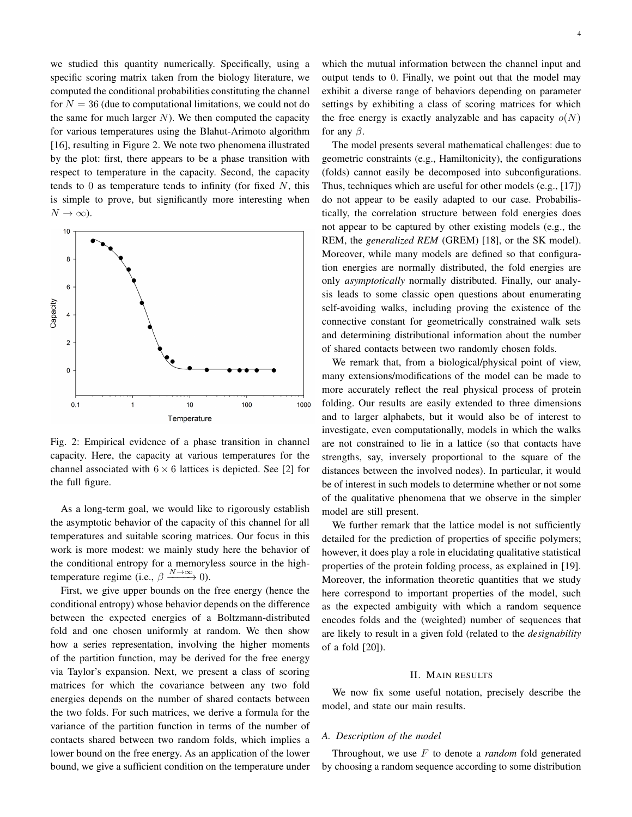we studied this quantity numerically. Specifically, using a specific scoring matrix taken from the biology literature, we computed the conditional probabilities constituting the channel for  $N = 36$  (due to computational limitations, we could not do the same for much larger  $N$ ). We then computed the capacity for various temperatures using the Blahut-Arimoto algorithm [16], resulting in Figure 2. We note two phenomena illustrated by the plot: first, there appears to be a phase transition with respect to temperature in the capacity. Second, the capacity tends to  $0$  as temperature tends to infinity (for fixed  $N$ , this is simple to prove, but significantly more interesting when  $N \to \infty$ ).



Fig. 2: Empirical evidence of a phase transition in channel capacity. Here, the capacity at various temperatures for the channel associated with  $6 \times 6$  lattices is depicted. See [2] for the full figure.

As a long-term goal, we would like to rigorously establish the asymptotic behavior of the capacity of this channel for all temperatures and suitable scoring matrices. Our focus in this work is more modest: we mainly study here the behavior of the conditional entropy for a memoryless source in the hightemperature regime (i.e.,  $\beta \xrightarrow{N \to \infty} 0$ ).

First, we give upper bounds on the free energy (hence the conditional entropy) whose behavior depends on the difference between the expected energies of a Boltzmann-distributed fold and one chosen uniformly at random. We then show how a series representation, involving the higher moments of the partition function, may be derived for the free energy via Taylor's expansion. Next, we present a class of scoring matrices for which the covariance between any two fold energies depends on the number of shared contacts between the two folds. For such matrices, we derive a formula for the variance of the partition function in terms of the number of contacts shared between two random folds, which implies a lower bound on the free energy. As an application of the lower bound, we give a sufficient condition on the temperature under which the mutual information between the channel input and output tends to 0. Finally, we point out that the model may exhibit a diverse range of behaviors depending on parameter settings by exhibiting a class of scoring matrices for which the free energy is exactly analyzable and has capacity  $o(N)$ for any  $\beta$ .

The model presents several mathematical challenges: due to geometric constraints (e.g., Hamiltonicity), the configurations (folds) cannot easily be decomposed into subconfigurations. Thus, techniques which are useful for other models (e.g., [17]) do not appear to be easily adapted to our case. Probabilistically, the correlation structure between fold energies does not appear to be captured by other existing models (e.g., the REM, the *generalized REM* (GREM) [18], or the SK model). Moreover, while many models are defined so that configuration energies are normally distributed, the fold energies are only *asymptotically* normally distributed. Finally, our analysis leads to some classic open questions about enumerating self-avoiding walks, including proving the existence of the connective constant for geometrically constrained walk sets and determining distributional information about the number of shared contacts between two randomly chosen folds.

We remark that, from a biological/physical point of view, many extensions/modifications of the model can be made to more accurately reflect the real physical process of protein folding. Our results are easily extended to three dimensions and to larger alphabets, but it would also be of interest to investigate, even computationally, models in which the walks are not constrained to lie in a lattice (so that contacts have strengths, say, inversely proportional to the square of the distances between the involved nodes). In particular, it would be of interest in such models to determine whether or not some of the qualitative phenomena that we observe in the simpler model are still present.

We further remark that the lattice model is not sufficiently detailed for the prediction of properties of specific polymers; however, it does play a role in elucidating qualitative statistical properties of the protein folding process, as explained in [19]. Moreover, the information theoretic quantities that we study here correspond to important properties of the model, such as the expected ambiguity with which a random sequence encodes folds and the (weighted) number of sequences that are likely to result in a given fold (related to the *designability* of a fold [20]).

# II. MAIN RESULTS

We now fix some useful notation, precisely describe the model, and state our main results.

## *A. Description of the model*

Throughout, we use F to denote a *random* fold generated by choosing a random sequence according to some distribution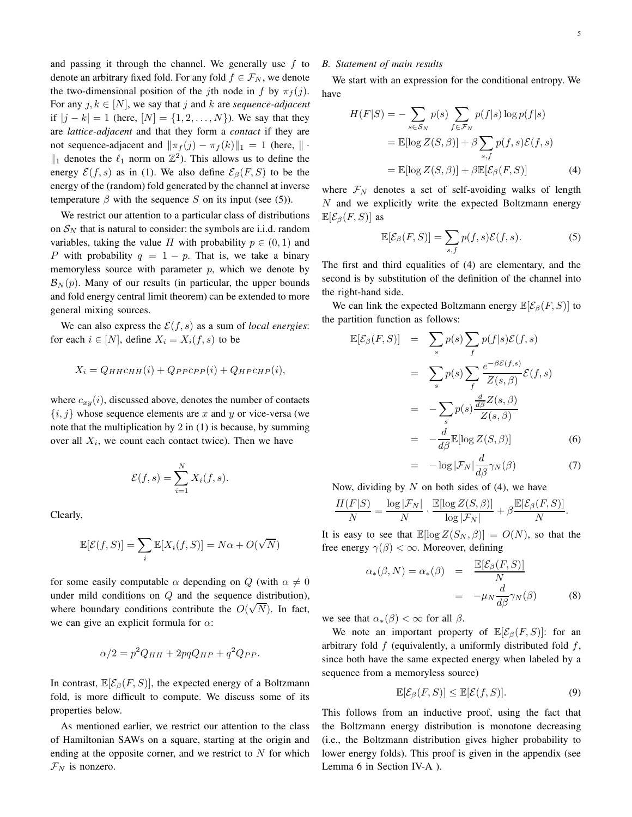and passing it through the channel. We generally use  $f$  to denote an arbitrary fixed fold. For any fold  $f \in \mathcal{F}_N$ , we denote the two-dimensional position of the *j*th node in f by  $\pi_f(j)$ . For any  $j, k \in [N]$ , we say that j and k are *sequence-adjacent* if  $|j - k| = 1$  (here,  $[N] = \{1, 2, ..., N\}$ ). We say that they are *lattice-adjacent* and that they form a *contact* if they are not sequence-adjacent and  $\|\pi_f (j) - \pi_f (k)\|_1 = 1$  (here,  $\|\cdot\|$  $\parallel_1$  denotes the  $\ell_1$  norm on  $\mathbb{Z}^2$ ). This allows us to define the energy  $\mathcal{E}(f, s)$  as in (1). We also define  $\mathcal{E}_{\beta}(F, S)$  to be the energy of the (random) fold generated by the channel at inverse temperature  $\beta$  with the sequence S on its input (see (5)).

We restrict our attention to a particular class of distributions on  $S_N$  that is natural to consider: the symbols are i.i.d. random variables, taking the value H with probability  $p \in (0,1)$  and P with probability  $q = 1 - p$ . That is, we take a binary memoryless source with parameter  $p$ , which we denote by  $\mathcal{B}_N(p)$ . Many of our results (in particular, the upper bounds and fold energy central limit theorem) can be extended to more general mixing sources.

We can also express the  $\mathcal{E}(f, s)$  as a sum of *local energies*: for each  $i \in [N]$ , define  $X_i = X_i(f, s)$  to be

$$
X_i = Q_{HH}c_{HH}(i) + Q_{PP}c_{PP}(i) + Q_{HP}c_{HP}(i),
$$

where  $c_{xy}(i)$ , discussed above, denotes the number of contacts  ${i, j}$  whose sequence elements are x and y or vice-versa (we note that the multiplication by 2 in (1) is because, by summing over all  $X_i$ , we count each contact twice). Then we have

$$
\mathcal{E}(f,s) = \sum_{i=1}^{N} X_i(f,s).
$$

Clearly,

$$
\mathbb{E}[\mathcal{E}(f,S)] = \sum_{i} \mathbb{E}[X_i(f,S)] = N\alpha + O(\sqrt{N})
$$

for some easily computable  $\alpha$  depending on Q (with  $\alpha \neq 0$ under mild conditions on  $Q$  and the sequence distribution), where boundary conditions contribute the  $O(\sqrt{N})$ . In fact, we can give an explicit formula for  $\alpha$ :

$$
\alpha/2 = p^2 Q_{HH} + 2pqQ_{HP} + q^2 Q_{PP}.
$$

In contrast,  $\mathbb{E}[\mathcal{E}_{\beta}(F, S)]$ , the expected energy of a Boltzmann fold, is more difficult to compute. We discuss some of its properties below.

As mentioned earlier, we restrict our attention to the class of Hamiltonian SAWs on a square, starting at the origin and ending at the opposite corner, and we restrict to  $N$  for which  $\mathcal{F}_N$  is nonzero.

## *B. Statement of main results*

We start with an expression for the conditional entropy. We have

$$
H(F|S) = -\sum_{s \in S_N} p(s) \sum_{f \in \mathcal{F}_N} p(f|s) \log p(f|s)
$$
  
= 
$$
\mathbb{E}[\log Z(S, \beta)] + \beta \sum_{s, f} p(f, s) \mathcal{E}(f, s)
$$
  
= 
$$
\mathbb{E}[\log Z(S, \beta)] + \beta \mathbb{E}[\mathcal{E}_{\beta}(F, S)]
$$
 (4)

where  $\mathcal{F}_N$  denotes a set of self-avoiding walks of length  $N$  and we explicitly write the expected Boltzmann energy  $\mathbb{E}[\mathcal{E}_{\beta}(F, S)]$  as

$$
\mathbb{E}[\mathcal{E}_{\beta}(F,S)] = \sum_{s,f} p(f,s)\mathcal{E}(f,s). \tag{5}
$$

The first and third equalities of (4) are elementary, and the second is by substitution of the definition of the channel into the right-hand side.

We can link the expected Boltzmann energy  $\mathbb{E}[\mathcal{E}_{\beta}(F, S)]$  to the partition function as follows:

$$
\mathbb{E}[\mathcal{E}_{\beta}(F, S)] = \sum_{s} p(s) \sum_{f} p(f|s) \mathcal{E}(f, s)
$$

$$
= \sum_{s} p(s) \sum_{f} \frac{e^{-\beta \mathcal{E}(f, s)}}{Z(s, \beta)} \mathcal{E}(f, s)
$$

$$
= -\sum_{s} p(s) \frac{\frac{d}{d\beta} Z(s, \beta)}{Z(s, \beta)}
$$

$$
= -\frac{d}{d\beta} \mathbb{E}[\log Z(S, \beta)] \tag{6}
$$

$$
= -\log|\mathcal{F}_N| \frac{d}{d\beta} \gamma_N(\beta) \tag{7}
$$

Now, dividing by  $N$  on both sides of (4), we have

$$
\frac{H(F|S)}{N} = \frac{\log |\mathcal{F}_N|}{N} \cdot \frac{\mathbb{E}[\log Z(S,\beta)]}{\log |\mathcal{F}_N|} + \beta \frac{\mathbb{E}[\mathcal{E}_\beta(F,S)]}{N}.
$$

It is easy to see that  $\mathbb{E}[\log Z(S_N, \beta)] = O(N)$ , so that the free energy  $\gamma(\beta) < \infty$ . Moreover, defining

$$
\alpha_*(\beta, N) = \alpha_*(\beta) = \frac{\mathbb{E}[\mathcal{E}_{\beta}(F, S)]}{N}
$$

$$
= -\mu_N \frac{d}{d\beta} \gamma_N(\beta)
$$
(8)

we see that  $\alpha_*(\beta) < \infty$  for all  $\beta$ .

We note an important property of  $\mathbb{E}[\mathcal{E}_{\beta}(F, S)]$ : for an arbitrary fold  $f$  (equivalently, a uniformly distributed fold  $f$ , since both have the same expected energy when labeled by a sequence from a memoryless source)

$$
\mathbb{E}[\mathcal{E}_{\beta}(F,S)] \le \mathbb{E}[\mathcal{E}(f,S)].\tag{9}
$$

This follows from an inductive proof, using the fact that the Boltzmann energy distribution is monotone decreasing (i.e., the Boltzmann distribution gives higher probability to lower energy folds). This proof is given in the appendix (see Lemma 6 in Section IV-A ).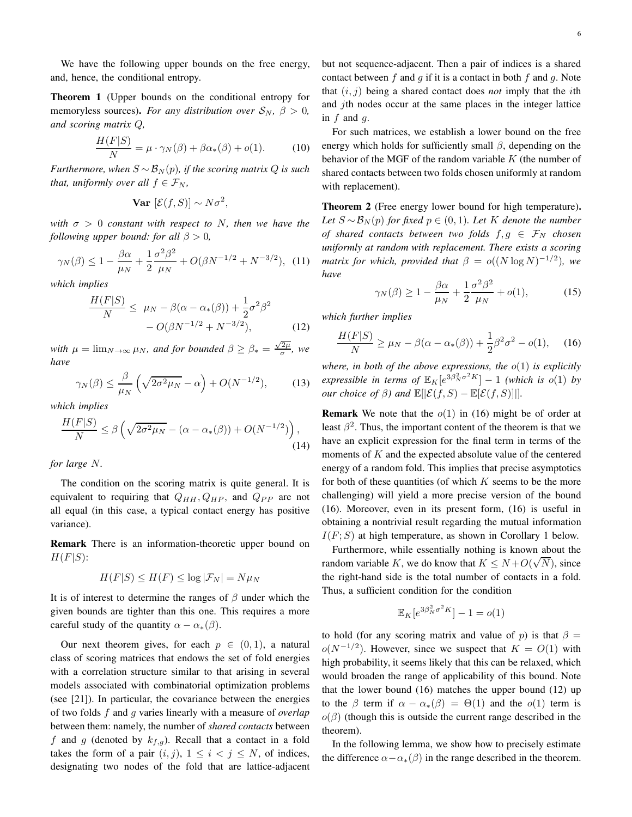We have the following upper bounds on the free energy, and, hence, the conditional entropy.

Theorem 1 (Upper bounds on the conditional entropy for memoryless sources). *For any distribution over*  $S_N$ ,  $\beta > 0$ , *and scoring matrix* Q*,*

$$
\frac{H(F|S)}{N} = \mu \cdot \gamma_N(\beta) + \beta \alpha_*(\beta) + o(1). \tag{10}
$$

*Furthermore, when*  $S \sim B_N(p)$ *, if the scoring matrix Q is such that, uniformly over all*  $f \in \mathcal{F}_N$ *,* 

$$
\mathbf{Var}\,\left[\mathcal{E}(f,S)\right] \sim N\sigma^2,
$$

*with*  $\sigma > 0$  *constant with respect to* N, then we have the *following upper bound: for all*  $\beta > 0$ ,

$$
\gamma_N(\beta) \le 1 - \frac{\beta \alpha}{\mu_N} + \frac{1}{2} \frac{\sigma^2 \beta^2}{\mu_N} + O(\beta N^{-1/2} + N^{-3/2}), \tag{11}
$$

*which implies*

$$
\frac{H(F|S)}{N} \le \mu_N - \beta(\alpha - \alpha_*(\beta)) + \frac{1}{2}\sigma^2\beta^2
$$

$$
-O(\beta N^{-1/2} + N^{-3/2}), \qquad (12)
$$

*with*  $\mu = \lim_{N \to \infty} \mu_N$ *, and for bounded*  $\beta \geq \beta_* = \frac{\sqrt{2\mu}}{\sigma}$  $rac{2\mu}{\sigma}$ , we *have*

$$
\gamma_N(\beta) \le \frac{\beta}{\mu_N} \left( \sqrt{2\sigma^2 \mu_N} - \alpha \right) + O(N^{-1/2}),\tag{13}
$$

*which implies*

$$
\frac{H(F|S)}{N} \le \beta \left(\sqrt{2\sigma^2 \mu_N} - (\alpha - \alpha_*(\beta)) + O(N^{-1/2})\right),\tag{14}
$$

*for large* N*.*

The condition on the scoring matrix is quite general. It is equivalent to requiring that  $Q_{HH}$ ,  $Q_{HP}$ , and  $Q_{PP}$  are not all equal (in this case, a typical contact energy has positive variance).

Remark There is an information-theoretic upper bound on  $H(F|S)$ :

$$
H(F|S) \le H(F) \le \log |\mathcal{F}_N| = N\mu_N
$$

It is of interest to determine the ranges of  $\beta$  under which the given bounds are tighter than this one. This requires a more careful study of the quantity  $\alpha - \alpha_*(\beta)$ .

Our next theorem gives, for each  $p \in (0,1)$ , a natural class of scoring matrices that endows the set of fold energies with a correlation structure similar to that arising in several models associated with combinatorial optimization problems (see [21]). In particular, the covariance between the energies of two folds f and g varies linearly with a measure of *overlap* between them: namely, the number of *shared contacts* between f and g (denoted by  $k_{f,g}$ ). Recall that a contact in a fold takes the form of a pair  $(i, j)$ ,  $1 \le i < j \le N$ , of indices, designating two nodes of the fold that are lattice-adjacent but not sequence-adjacent. Then a pair of indices is a shared contact between  $f$  and  $g$  if it is a contact in both  $f$  and  $g$ . Note that  $(i, j)$  being a shared contact does *not* imply that the *i*th and jth nodes occur at the same places in the integer lattice in  $f$  and  $g$ .

For such matrices, we establish a lower bound on the free energy which holds for sufficiently small  $\beta$ , depending on the behavior of the MGF of the random variable  $K$  (the number of shared contacts between two folds chosen uniformly at random with replacement).

Theorem 2 (Free energy lower bound for high temperature). *Let*  $S ∼ B<sub>N</sub>(p)$  *for fixed*  $p ∈ (0, 1)$ *. Let* K *denote the number of shared contacts between two folds*  $f, g \in \mathcal{F}_N$  *chosen uniformly at random with replacement. There exists a scoring matrix for which, provided that*  $\beta = o((N \log N)^{-1/2})$ , we *have*

$$
\gamma_N(\beta) \ge 1 - \frac{\beta \alpha}{\mu_N} + \frac{1}{2} \frac{\sigma^2 \beta^2}{\mu_N} + o(1),\tag{15}
$$

*which further implies*

$$
\frac{H(F|S)}{N} \ge \mu_N - \beta(\alpha - \alpha_*(\beta)) + \frac{1}{2}\beta^2 \sigma^2 - o(1), \quad (16)
$$

*where, in both of the above expressions, the* o(1) *is explicitly*  $exp$ *expressible in terms of*  $\mathbb{E}_K[e^{3\beta_N^2 \sigma^2 K}] - 1$  *(which is o(1) by our choice of*  $\beta$ *) and*  $\mathbb{E}[|\mathcal{E}(f, S) - \mathbb{E}[\mathcal{E}(f, S)]|].$ 

**Remark** We note that the  $o(1)$  in (16) might be of order at least  $\beta^2$ . Thus, the important content of the theorem is that we have an explicit expression for the final term in terms of the moments of  $K$  and the expected absolute value of the centered energy of a random fold. This implies that precise asymptotics for both of these quantities (of which  $K$  seems to be the more challenging) will yield a more precise version of the bound (16). Moreover, even in its present form, (16) is useful in obtaining a nontrivial result regarding the mutual information  $I(F; S)$  at high temperature, as shown in Corollary 1 below.

Furthermore, while essentially nothing is known about the random variable K, we do know that  $K \le N + O(\sqrt{N})$ , since the right-hand side is the total number of contacts in a fold. Thus, a sufficient condition for the condition

$$
\mathbb{E}_K[e^{3\beta_N^2 \sigma^2 K}] - 1 = o(1)
$$

to hold (for any scoring matrix and value of p) is that  $\beta =$  $o(N^{-1/2})$ . However, since we suspect that  $K = O(1)$  with high probability, it seems likely that this can be relaxed, which would broaden the range of applicability of this bound. Note that the lower bound (16) matches the upper bound (12) up to the  $\beta$  term if  $\alpha - \alpha_*(\beta) = \Theta(1)$  and the  $o(1)$  term is  $o(\beta)$  (though this is outside the current range described in the theorem).

In the following lemma, we show how to precisely estimate the difference  $\alpha - \alpha_*(\beta)$  in the range described in the theorem.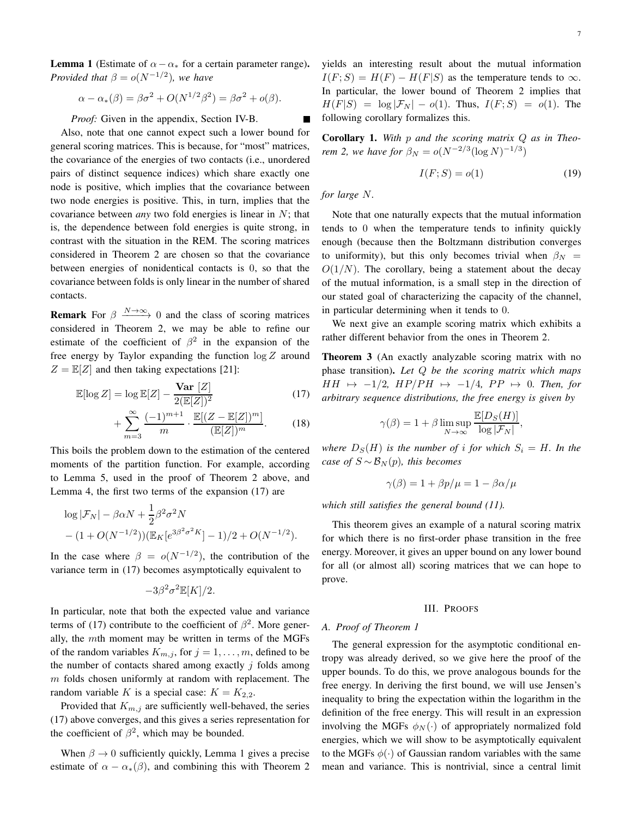**Lemma 1** (Estimate of  $\alpha - \alpha_*$  for a certain parameter range). *Provided that*  $\beta = o(N^{-1/2})$ *, we have* 

$$
\alpha - \alpha_*(\beta) = \beta \sigma^2 + O(N^{1/2}\beta^2) = \beta \sigma^2 + o(\beta).
$$

*Proof:* Given in the appendix, Section IV-B.

Also, note that one cannot expect such a lower bound for general scoring matrices. This is because, for "most" matrices, the covariance of the energies of two contacts (i.e., unordered pairs of distinct sequence indices) which share exactly one node is positive, which implies that the covariance between two node energies is positive. This, in turn, implies that the covariance between *any* two fold energies is linear in N; that is, the dependence between fold energies is quite strong, in contrast with the situation in the REM. The scoring matrices considered in Theorem 2 are chosen so that the covariance between energies of nonidentical contacts is 0, so that the covariance between folds is only linear in the number of shared contacts.

**Remark** For  $\beta \xrightarrow{N \to \infty} 0$  and the class of scoring matrices considered in Theorem 2, we may be able to refine our estimate of the coefficient of  $\beta^2$  in the expansion of the free energy by Taylor expanding the function  $\log Z$  around  $Z = \mathbb{E}[Z]$  and then taking expectations [21]:

$$
\mathbb{E}[\log Z] = \log \mathbb{E}[Z] - \frac{\mathbf{Var}[Z]}{2(\mathbb{E}[Z])^2}
$$
 (17)

$$
+\sum_{m=3}^{\infty} \frac{(-1)^{m+1}}{m} \cdot \frac{\mathbb{E}[(Z-\mathbb{E}[Z])^m]}{(\mathbb{E}[Z])^m}.\tag{18}
$$

This boils the problem down to the estimation of the centered moments of the partition function. For example, according to Lemma 5, used in the proof of Theorem 2 above, and Lemma 4, the first two terms of the expansion (17) are

$$
\log |\mathcal{F}_N| - \beta \alpha N + \frac{1}{2} \beta^2 \sigma^2 N
$$
  
– (1 + O(N<sup>-1/2</sup>)) (E<sub>K</sub>[e<sup>3\beta^2</sup>σ<sup>2</sup>K] – 1)/2 + O(N<sup>-1/2</sup>).

In the case where  $\beta = o(N^{-1/2})$ , the contribution of the variance term in (17) becomes asymptotically equivalent to

$$
-3\beta^2\sigma^2\mathbb{E}[K]/2.
$$

In particular, note that both the expected value and variance terms of (17) contribute to the coefficient of  $\beta^2$ . More generally, the mth moment may be written in terms of the MGFs of the random variables  $K_{m,j}$ , for  $j = 1, \ldots, m$ , defined to be the number of contacts shared among exactly  $j$  folds among  $m$  folds chosen uniformly at random with replacement. The random variable K is a special case:  $K = K_{2,2}$ .

Provided that  $K_{m,j}$  are sufficiently well-behaved, the series (17) above converges, and this gives a series representation for the coefficient of  $\beta^2$ , which may be bounded.

When  $\beta \rightarrow 0$  sufficiently quickly, Lemma 1 gives a precise estimate of  $\alpha - \alpha_*(\beta)$ , and combining this with Theorem 2 yields an interesting result about the mutual information  $I(F; S) = H(F) - H(F|S)$  as the temperature tends to  $\infty$ . In particular, the lower bound of Theorem 2 implies that  $H(F|S) = \log |\mathcal{F}_N| - o(1)$ . Thus,  $I(F;S) = o(1)$ . The following corollary formalizes this.

Corollary 1. *With* p *and the scoring matrix* Q *as in Theorem 2, we have for*  $\beta_N = o(N^{-2/3}(\log N)^{-1/3})$ 

$$
I(F;S) = o(1) \tag{19}
$$

*for large* N*.*

Note that one naturally expects that the mutual information tends to 0 when the temperature tends to infinity quickly enough (because then the Boltzmann distribution converges to uniformity), but this only becomes trivial when  $\beta_N$  =  $O(1/N)$ . The corollary, being a statement about the decay of the mutual information, is a small step in the direction of our stated goal of characterizing the capacity of the channel, in particular determining when it tends to 0.

We next give an example scoring matrix which exhibits a rather different behavior from the ones in Theorem 2.

Theorem 3 (An exactly analyzable scoring matrix with no phase transition). *Let* Q *be the scoring matrix which maps*  $HH \rightarrow -1/2$ ,  $HP/PH \rightarrow -1/4$ ,  $PP \rightarrow 0$ . Then, for *arbitrary sequence distributions, the free energy is given by*

$$
\gamma(\beta) = 1 + \beta \limsup_{N \to \infty} \frac{\mathbb{E}[D_S(H)]}{\log |\mathcal{F}_N|},
$$

*where*  $D_S(H)$  *is the number of i for which*  $S_i = H$ *. In the case of*  $S \sim B_N(p)$ *, this becomes* 

$$
\gamma(\beta) = 1 + \beta p/\mu = 1 - \beta \alpha/\mu
$$

*which still satisfies the general bound (11).*

This theorem gives an example of a natural scoring matrix for which there is no first-order phase transition in the free energy. Moreover, it gives an upper bound on any lower bound for all (or almost all) scoring matrices that we can hope to prove.

# III. PROOFS

## *A. Proof of Theorem 1*

The general expression for the asymptotic conditional entropy was already derived, so we give here the proof of the upper bounds. To do this, we prove analogous bounds for the free energy. In deriving the first bound, we will use Jensen's inequality to bring the expectation within the logarithm in the definition of the free energy. This will result in an expression involving the MGFs  $\phi_N(\cdot)$  of appropriately normalized fold energies, which we will show to be asymptotically equivalent to the MGFs  $\phi(\cdot)$  of Gaussian random variables with the same mean and variance. This is nontrivial, since a central limit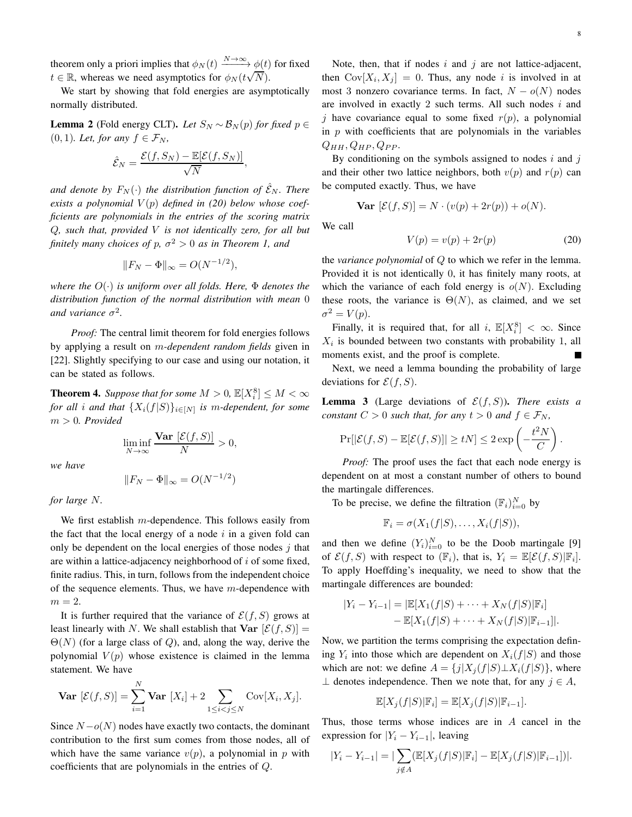theorem only a priori implies that  $\phi_N(t) \xrightarrow{N \to \infty} \phi(t)$  for fixed  $t \in \mathbb{R}$ , whereas we need asymptotics for  $\phi_N(t\sqrt{N})$ .

We start by showing that fold energies are asymptotically normally distributed.

**Lemma 2** (Fold energy CLT). *Let*  $S_N \sim B_N(p)$  *for fixed*  $p \in$  $(0, 1)$ *. Let, for any*  $f \in \mathcal{F}_N$ *,* 

$$
\hat{\mathcal{E}}_N = \frac{\mathcal{E}(f, S_N) - \mathbb{E}[\mathcal{E}(f, S_N)]}{\sqrt{N}}
$$

,

*and denote by*  $F_N(\cdot)$  *the distribution function of*  $\hat{\mathcal{E}}_N$ *. There* exists a polynomial  $V(p)$  defined in (20) below whose coef*ficients are polynomials in the entries of the scoring matrix* Q*, such that, provided* V *is not identically zero, for all but finitely many choices of* p*,* σ <sup>2</sup> > 0 *as in Theorem 1, and*

$$
||F_N - \Phi||_{\infty} = O(N^{-1/2}),
$$

*where the* O(·) *is uniform over all folds. Here,* Φ *denotes the distribution function of the normal distribution with mean* 0 and variance  $\sigma^2$ .

*Proof:* The central limit theorem for fold energies follows by applying a result on m*-dependent random fields* given in [22]. Slightly specifying to our case and using our notation, it can be stated as follows.

**Theorem 4.** Suppose that for some  $M > 0$ ,  $\mathbb{E}[X_i^8] \leq M < \infty$ *for all i and that*  $\{X_i(f|S)\}_{i\in[N]}$  *is m-dependent, for some* m > 0*. Provided*

Var  $[\mathcal{E}(f, S)]$ 

 $\frac{\sum_{j=1}^{N} b_j}{N} > 0,$ 

*we have*

$$
||F_N - \Phi||_{\infty} = O(N^{-1/2})
$$

 $\liminf_{N\to\infty}$ 

*for large* N*.*

We first establish  $m$ -dependence. This follows easily from the fact that the local energy of a node  $i$  in a given fold can only be dependent on the local energies of those nodes  $i$  that are within a lattice-adjacency neighborhood of  $i$  of some fixed, finite radius. This, in turn, follows from the independent choice of the sequence elements. Thus, we have  $m$ -dependence with  $m=2.$ 

It is further required that the variance of  $\mathcal{E}(f, S)$  grows at least linearly with N. We shall establish that  $Var [\mathcal{E}(f, S)] =$  $\Theta(N)$  (for a large class of Q), and, along the way, derive the polynomial  $V(p)$  whose existence is claimed in the lemma statement. We have

$$
\mathbf{Var}\,\left[\mathcal{E}(f,S)\right] = \sum_{i=1}^{N} \mathbf{Var}\,\left[X_i\right] + 2 \sum_{1 \leq i < j \leq N} \operatorname{Cov}[X_i, X_j].
$$

Since  $N - o(N)$  nodes have exactly two contacts, the dominant contribution to the first sum comes from those nodes, all of which have the same variance  $v(p)$ , a polynomial in p with coefficients that are polynomials in the entries of Q.

Note, then, that if nodes  $i$  and  $j$  are not lattice-adjacent, then  $Cov[X_i, X_j] = 0$ . Thus, any node i is involved in at most 3 nonzero covariance terms. In fact,  $N - o(N)$  nodes are involved in exactly 2 such terms. All such nodes  $i$  and j have covariance equal to some fixed  $r(p)$ , a polynomial in  $p$  with coefficients that are polynomials in the variables  $Q_{HH}, Q_{HP}, Q_{PP}.$ 

By conditioning on the symbols assigned to nodes  $i$  and  $j$ and their other two lattice neighbors, both  $v(p)$  and  $r(p)$  can be computed exactly. Thus, we have

$$
\mathbf{Var} [\mathcal{E}(f, S)] = N \cdot (v(p) + 2r(p)) + o(N).
$$

We call

$$
V(p) = v(p) + 2r(p) \tag{20}
$$

the *variance polynomial* of Q to which we refer in the lemma. Provided it is not identically 0, it has finitely many roots, at which the variance of each fold energy is  $o(N)$ . Excluding these roots, the variance is  $\Theta(N)$ , as claimed, and we set  $\sigma^2 = V(p).$ 

Finally, it is required that, for all i,  $\mathbb{E}[X_i^8] < \infty$ . Since  $X_i$  is bounded between two constants with probability 1, all moments exist, and the proof is complete.

Next, we need a lemma bounding the probability of large deviations for  $\mathcal{E}(f, S)$ .

**Lemma 3** (Large deviations of  $\mathcal{E}(f, S)$ ). *There exists a constant*  $C > 0$  *such that, for any*  $t > 0$  *and*  $f \in \mathcal{F}_N$ *,* 

$$
\Pr[|\mathcal{E}(f, S) - \mathbb{E}[\mathcal{E}(f, S)]| \ge tN] \le 2 \exp\left(-\frac{t^2 N}{C}\right).
$$

*Proof:* The proof uses the fact that each node energy is dependent on at most a constant number of others to bound the martingale differences.

To be precise, we define the filtration  $(\mathbb{F}_i)_{i=0}^N$  by

$$
\mathbb{F}_i = \sigma(X_1(f|S), \ldots, X_i(f|S)),
$$

and then we define  $(Y_i)_{i=0}^N$  to be the Doob martingale [9] of  $\mathcal{E}(f, S)$  with respect to  $(\mathbb{F}_i)$ , that is,  $Y_i = \mathbb{E}[\mathcal{E}(f, S)|\mathbb{F}_i]$ . To apply Hoeffding's inequality, we need to show that the martingale differences are bounded:

$$
|Y_i - Y_{i-1}| = |\mathbb{E}[X_1(f|S) + \dots + X_N(f|S)|\mathbb{F}_i] - \mathbb{E}[X_1(f|S) + \dots + X_N(f|S)|\mathbb{F}_{i-1}].
$$

Now, we partition the terms comprising the expectation defining  $Y_i$  into those which are dependent on  $X_i(f|S)$  and those which are not: we define  $A = \{j|X_i(f|S) \perp X_i(f|S)\}\)$ , where  $\perp$  denotes independence. Then we note that, for any  $j \in A$ ,

$$
\mathbb{E}[X_j(f|S)|\mathbb{F}_i] = \mathbb{E}[X_j(f|S)|\mathbb{F}_{i-1}].
$$

Thus, those terms whose indices are in A cancel in the expression for  $|Y_i - Y_{i-1}|$ , leaving

$$
|Y_i - Y_{i-1}| = |\sum_{j \notin A} (\mathbb{E}[X_j(f|S)|\mathbb{F}_i] - \mathbb{E}[X_j(f|S)|\mathbb{F}_{i-1}])|.
$$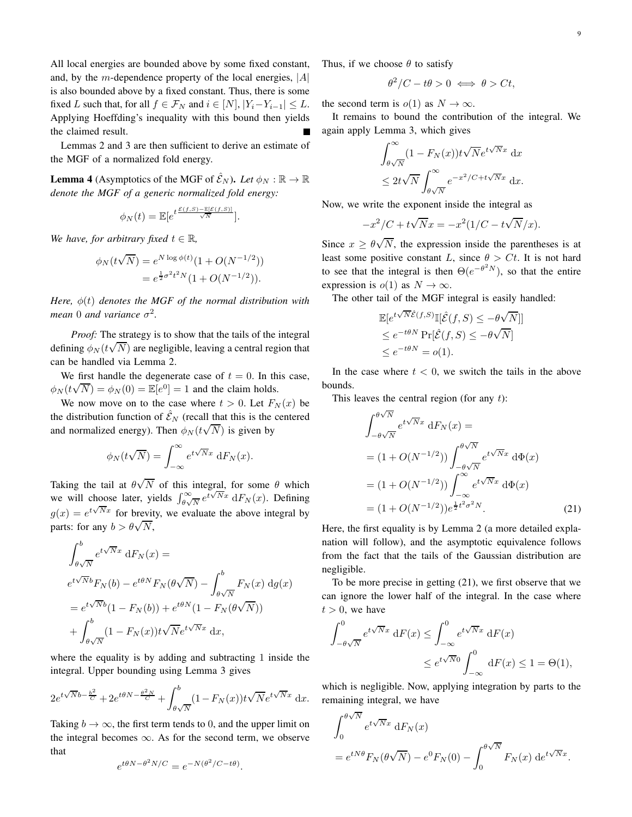All local energies are bounded above by some fixed constant, and, by the *m*-dependence property of the local energies,  $|A|$ is also bounded above by a fixed constant. Thus, there is some fixed L such that, for all  $f \in \mathcal{F}_N$  and  $i \in [N], |Y_i - Y_{i-1}| \leq L$ . Applying Hoeffding's inequality with this bound then yields the claimed result.

Lemmas 2 and 3 are then sufficient to derive an estimate of the MGF of a normalized fold energy.

**Lemma 4** (Asymptotics of the MGF of  $\hat{\mathcal{E}}_N$ ). Let  $\phi_N : \mathbb{R} \to \mathbb{R}$ *denote the MGF of a generic normalized fold energy:*

$$
\phi_N(t) = \mathbb{E}[e^{t \frac{\mathcal{E}(f,S) - \mathbb{E}[\mathcal{E}(f,S)]}{\sqrt{N}}}].
$$

*We have, for arbitrary fixed*  $t \in \mathbb{R}$ *,* 

$$
\phi_N(t\sqrt{N}) = e^{N \log \phi(t)} (1 + O(N^{-1/2}))
$$
  
= 
$$
e^{\frac{1}{2}\sigma^2 t^2 N} (1 + O(N^{-1/2})).
$$

*Here,*  $\phi(t)$  *denotes the MGF of the normal distribution with mean* 0 *and variance*  $\sigma^2$ .

*Proof:* The strategy is to show that the tails of the integral defining  $\phi_N(t\sqrt{N})$  are negligible, leaving a central region that can be handled via Lemma 2.

We first handle the degenerate case of  $t = 0$ . In this case,  $\phi_N(t\sqrt{N}) = \phi_N(0) = \mathbb{E}[e^0] = 1$  and the claim holds.

We now move on to the case where  $t > 0$ . Let  $F<sub>N</sub>(x)$  be the distribution function of  $\hat{\mathcal{E}}_N$  (recall that this is the centered and normalized energy). Then  $\phi_N(t\sqrt{N})$  is given by

$$
\phi_N(t\sqrt{N}) = \int_{-\infty}^{\infty} e^{t\sqrt{N}x} dF_N(x).
$$

Taking the tail at  $\theta\sqrt{N}$  of this integral, for some  $\theta$  which we will choose later, yields  $\int_{\theta\sqrt{N}}^{\infty} e^{t\sqrt{N}x} dF_N(x)$ . Defining  $g(x) = e^{t\sqrt{N}x}$  for brevity, we evaluate the above integral by parts: for any  $b > \theta \sqrt{N}$ ,

$$
\int_{\theta\sqrt{N}}^{b} e^{t\sqrt{N}x} dF_N(x) =
$$
\n
$$
e^{t\sqrt{N}b} F_N(b) - e^{t\theta N} F_N(\theta\sqrt{N}) - \int_{\theta\sqrt{N}}^{b} F_N(x) d g(x)
$$
\n
$$
= e^{t\sqrt{N}b} (1 - F_N(b)) + e^{t\theta N} (1 - F_N(\theta\sqrt{N}))
$$
\n
$$
+ \int_{\theta\sqrt{N}}^{b} (1 - F_N(x)) t\sqrt{N} e^{t\sqrt{N}x} dx,
$$

where the equality is by adding and subtracting 1 inside the integral. Upper bounding using Lemma 3 gives

$$
2e^{t\sqrt{N}b-\frac{b^2}{C}} + 2e^{t\theta N - \frac{\theta^2 N}{C}} + \int_{\theta\sqrt{N}}^b (1 - F_N(x))t\sqrt{N}e^{t\sqrt{N}x} dx.
$$

Taking  $b \to \infty$ , the first term tends to 0, and the upper limit on the integral becomes  $\infty$ . As for the second term, we observe that

$$
e^{t\theta N - \theta^2 N/C} = e^{-N(\theta^2/C - t\theta)}
$$

.

Thus, if we choose  $\theta$  to satisfy

$$
\theta^2/C - t\theta > 0 \iff \theta > Ct,
$$

the second term is  $o(1)$  as  $N \to \infty$ .

It remains to bound the contribution of the integral. We again apply Lemma 3, which gives

$$
\int_{\theta\sqrt{N}}^{\infty} (1 - F_N(x)) t \sqrt{N} e^{t\sqrt{N}x} dx
$$
  

$$
\leq 2t\sqrt{N} \int_{\theta\sqrt{N}}^{\infty} e^{-x^2/C + t\sqrt{N}x} dx.
$$

Now, we write the exponent inside the integral as

$$
-x^2/C + t\sqrt{N}x = -x^2(1/C - t\sqrt{N}/x).
$$

Since  $x \ge \theta \sqrt{N}$ , the expression inside the parentheses is at least some positive constant L, since  $\theta > Ct$ . It is not hard to see that the integral is then  $\Theta(e^{-\theta^2 N})$ , so that the entire expression is  $o(1)$  as  $N \to \infty$ .

The other tail of the MGF integral is easily handled:

$$
\mathbb{E}[e^{t\sqrt{N}\hat{\mathcal{E}}(f,S)}\mathbb{I}[\hat{\mathcal{E}}(f,S) \le -\theta\sqrt{N}]]
$$
  
\n
$$
\le e^{-t\theta N} \Pr[\hat{\mathcal{E}}(f,S) \le -\theta\sqrt{N}]
$$
  
\n
$$
\le e^{-t\theta N} = o(1).
$$

In the case where  $t < 0$ , we switch the tails in the above bounds.

This leaves the central region (for any  $t$ ):

$$
\int_{-\theta\sqrt{N}}^{\theta\sqrt{N}} e^{t\sqrt{N}x} dF_N(x) =
$$
\n
$$
= (1 + O(N^{-1/2})) \int_{-\theta\sqrt{N}}^{\theta\sqrt{N}} e^{t\sqrt{N}x} d\Phi(x)
$$
\n
$$
= (1 + O(N^{-1/2})) \int_{-\infty}^{\infty} e^{t\sqrt{N}x} d\Phi(x)
$$
\n
$$
= (1 + O(N^{-1/2})) e^{\frac{1}{2}t^2 \sigma^2 N}.
$$
\n(21)

Here, the first equality is by Lemma 2 (a more detailed explanation will follow), and the asymptotic equivalence follows from the fact that the tails of the Gaussian distribution are negligible.

To be more precise in getting (21), we first observe that we can ignore the lower half of the integral. In the case where  $t > 0$ , we have

$$
\int_{-\theta\sqrt{N}}^{0} e^{t\sqrt{N}x} dF(x) \le \int_{-\infty}^{0} e^{t\sqrt{N}x} dF(x)
$$
  

$$
\le e^{t\sqrt{N}0} \int_{-\infty}^{0} dF(x) \le 1 = \Theta(1),
$$

which is negligible. Now, applying integration by parts to the remaining integral, we have

$$
\begin{split} & \int_0^{\theta\sqrt{N}} e^{t\sqrt{N}x} \; \mathrm{d} F_N(x) \\ & = e^{tN\theta} F_N(\theta\sqrt{N}) - e^0 F_N(0) - \int_0^{\theta\sqrt{N}} F_N(x) \; \mathrm{d} e^{t\sqrt{N}x}. \end{split}
$$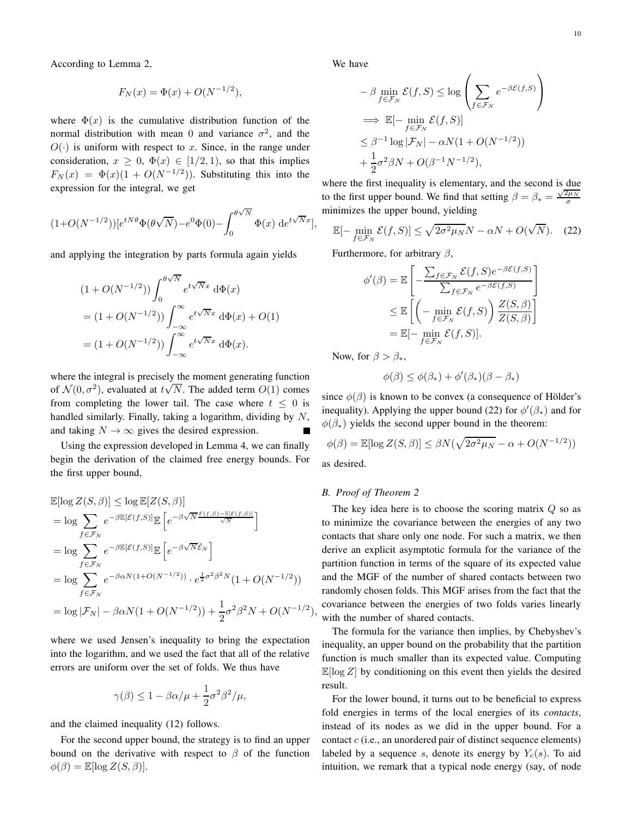According to Lemma 2,

$$
F_N(x) = \Phi(x) + O(N^{-1/2}),
$$

where  $\Phi(x)$  is the cumulative distribution function of the normal distribution with mean 0 and variance  $\sigma^2$ , and the  $O(\cdot)$  is uniform with respect to x. Since, in the range under consideration,  $x \geq 0$ ,  $\Phi(x) \in [1/2, 1)$ , so that this implies  $F_N(x) = \Phi(x)(1 + O(N^{-1/2}))$ . Substituting this into the expression for the integral, we get

$$
(1+O(N^{-1/2})) [e^{tN\theta} \Phi(\theta\sqrt{N})-e^0\Phi(0)-\int_0^{\theta\sqrt{N}} \Phi(x) \, \mathop{}\!\mathrm{d} e^{t\sqrt{N}x}],
$$

and applying the integration by parts formula again yields

$$
(1 + O(N^{-1/2})) \int_0^{\theta \sqrt{N}} e^{t\sqrt{N}x} d\Phi(x)
$$
  
=  $(1 + O(N^{-1/2})) \int_{-\infty}^{\infty} e^{t\sqrt{N}x} d\Phi(x) + O(1)$   
=  $(1 + O(N^{-1/2})) \int_{-\infty}^{\infty} e^{t\sqrt{N}x} d\Phi(x).$ 

where the integral is precisely the moment generating function of  $\mathcal{N}(0, \sigma^2)$ , evaluated at  $t\sqrt{N}$ . The added term  $O(1)$  comes from completing the lower tail. The case where  $t \leq 0$  is handled similarly. Finally, taking a logarithm, dividing by  $N$ , and taking  $N \to \infty$  gives the desired expression.

Using the expression developed in Lemma 4, we can finally begin the derivation of the claimed free energy bounds. For the first upper bound,

$$
\mathbb{E}[\log Z(S,\beta)] \le \log \mathbb{E}[Z(S,\beta)]
$$
\n
$$
= \log \sum_{f \in \mathcal{F}_N} e^{-\beta \mathbb{E}[\mathcal{E}(f,S)]} \mathbb{E}\left[e^{-\beta\sqrt{N}\frac{\mathcal{E}(f,S) - \mathbb{E}[\mathcal{E}(f,S)]}{\sqrt{N}}}\right]
$$
\n
$$
= \log \sum_{f \in \mathcal{F}_N} e^{-\beta \mathbb{E}[\mathcal{E}(f,S)]} \mathbb{E}\left[e^{-\beta\sqrt{N}\hat{\mathcal{E}}_N}\right]
$$
\n
$$
= \log \sum_{f \in \mathcal{F}_N} e^{-\beta\alpha N(1 + O(N^{-1/2}))} \cdot e^{\frac{1}{2}\sigma^2\beta^2 N} (1 + O(N^{-1/2}))
$$
\n
$$
= \log |\mathcal{F}_N| - \beta\alpha N(1 + O(N^{-1/2})) + \frac{1}{2}\sigma^2\beta^2 N + O(N^{-1/2})
$$

where we used Jensen's inequality to bring the expectation into the logarithm, and we used the fact that all of the relative errors are uniform over the set of folds. We thus have

$$
\gamma(\beta) \le 1 - \beta \alpha / \mu + \frac{1}{2} \sigma^2 \beta^2 / \mu,
$$

and the claimed inequality (12) follows.

For the second upper bound, the strategy is to find an upper bound on the derivative with respect to  $\beta$  of the function  $\phi(\beta) = \mathbb{E}[\log Z(S, \beta)].$ 

We have

$$
-\beta \min_{f \in \mathcal{F}_N} \mathcal{E}(f, S) \le \log \left( \sum_{f \in \mathcal{F}_N} e^{-\beta \mathcal{E}(f, S)} \right)
$$
  
\n
$$
\implies \mathbb{E}[- \min_{f \in \mathcal{F}_N} \mathcal{E}(f, S)]
$$
  
\n
$$
\le \beta^{-1} \log |\mathcal{F}_N| - \alpha N (1 + O(N^{-1/2}))
$$
  
\n
$$
+\frac{1}{2}\sigma^2 \beta N + O(\beta^{-1} N^{-1/2}),
$$

where the first inequality is elementary, and the second is due to the first upper bound. We find that setting  $\beta = \beta_* = \frac{\sqrt{2\mu_N}}{\sigma}$ minimizes the upper bound, yielding

$$
\mathbb{E}[-\min_{f \in \mathcal{F}_N} \mathcal{E}(f, S)] \le \sqrt{2\sigma^2 \mu_N} N - \alpha N + O(\sqrt{N}). \quad (22)
$$

Furthermore, for arbitrary  $\beta$ ,

$$
\phi'(\beta) = \mathbb{E}\left[-\frac{\sum_{f \in \mathcal{F}_N} \mathcal{E}(f, S)e^{-\beta \mathcal{E}(f, S)}}{\sum_{f \in \mathcal{F}_N} e^{-\beta \mathcal{E}(f, S)}}\right]
$$
  

$$
\leq \mathbb{E}\left[\left(-\min_{f \in \mathcal{F}_N} \mathcal{E}(f, S)\right) \frac{Z(S, \beta)}{Z(S, \beta)}\right]
$$
  

$$
= \mathbb{E}[-\min_{f \in \mathcal{F}_N} \mathcal{E}(f, S)].
$$

Now, for  $\beta > \beta_*$ ,

$$
\phi(\beta) \leq \phi(\beta_*) + \phi'(\beta_*)(\beta - \beta_*)
$$

since  $\phi(\beta)$  is known to be convex (a consequence of Hölder's inequality). Applying the upper bound (22) for  $\phi'(\beta_*)$  and for  $\phi(\beta_*)$  yields the second upper bound in the theorem:

 $\phi(\beta) = \mathbb{E}[\log Z(S, \beta)] \leq \beta N(\sqrt{2\sigma^2 \mu_N} - \alpha + O(N^{-1/2}))$ as desired.

# *B. Proof of Theorem 2*

),

The key idea here is to choose the scoring matrix  $Q$  so as to minimize the covariance between the energies of any two contacts that share only one node. For such a matrix, we then derive an explicit asymptotic formula for the variance of the partition function in terms of the square of its expected value and the MGF of the number of shared contacts between two randomly chosen folds. This MGF arises from the fact that the covariance between the energies of two folds varies linearly with the number of shared contacts.

The formula for the variance then implies, by Chebyshev's inequality, an upper bound on the probability that the partition function is much smaller than its expected value. Computing  $\mathbb{E}[\log Z]$  by conditioning on this event then yields the desired result.

For the lower bound, it turns out to be beneficial to express fold energies in terms of the local energies of its *contacts*, instead of its nodes as we did in the upper bound. For a contact c (i.e., an unordered pair of distinct sequence elements) labeled by a sequence s, denote its energy by  $Y_c(s)$ . To aid intuition, we remark that a typical node energy (say, of node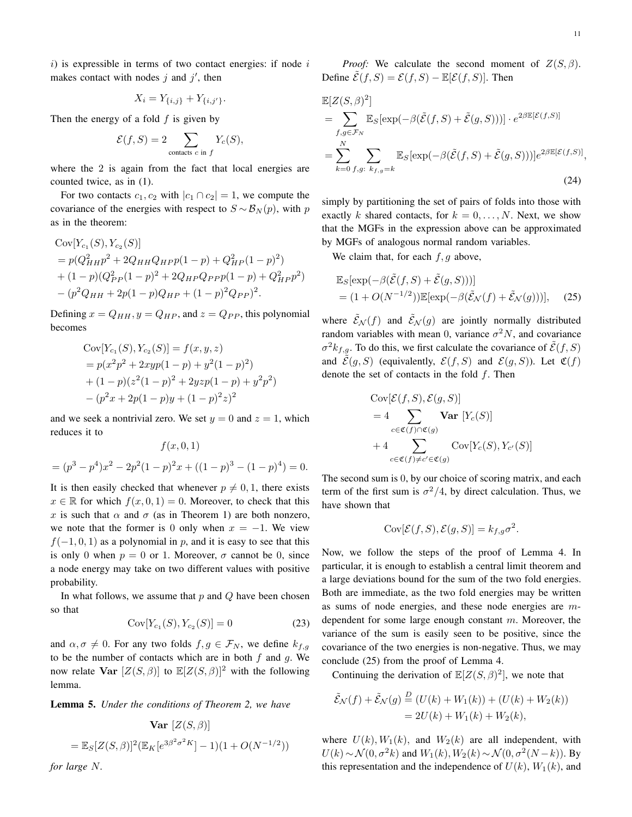$i)$  is expressible in terms of two contact energies: if node  $i$ makes contact with nodes  $j$  and  $j'$ , then

$$
X_i = Y_{\{i,j\}} + Y_{\{i,j'\}}.
$$

Then the energy of a fold  $f$  is given by

$$
\mathcal{E}(f, S) = 2 \sum_{\text{ contacts } c \text{ in } f} Y_c(S),
$$

where the 2 is again from the fact that local energies are counted twice, as in (1).

For two contacts  $c_1, c_2$  with  $|c_1 \cap c_2| = 1$ , we compute the covariance of the energies with respect to  $S \sim B_N(p)$ , with p as in the theorem:

$$
Cov[Y_{c_1}(S), Y_{c_2}(S)]
$$
  
=  $p(Q_{HH}^2p^2 + 2Q_{HH}Q_{HP}p(1-p) + Q_{HP}^2(1-p)^2)$   
+  $(1-p)(Q_{PP}^2(1-p)^2 + 2Q_{HP}Q_{PP}p(1-p) + Q_{HP}^2p^2)$   
-  $(p^2Q_{HH} + 2p(1-p)Q_{HP} + (1-p)^2Q_{PP})^2$ .

Defining  $x = Q_{HH}$ ,  $y = Q_{HP}$ , and  $z = Q_{PP}$ , this polynomial becomes

$$
Cov[Y_{c_1}(S), Y_{c_2}(S)] = f(x, y, z)
$$
  
=  $p(x^2p^2 + 2xyp(1-p) + y^2(1-p)^2)$   
+  $(1-p)(z^2(1-p)^2 + 2yzp(1-p) + y^2p^2)$   
-  $(p^2x + 2p(1-p)y + (1-p)^2z)^2$ 

and we seek a nontrivial zero. We set  $y = 0$  and  $z = 1$ , which reduces it to

$$
f(x, 0, 1)
$$
  
=  $(p^3 - p^4)x^2 - 2p^2(1 - p)^2x + ((1 - p)^3 - (1 - p)^4) = 0.$ 

It is then easily checked that whenever  $p \neq 0, 1$ , there exists  $x \in \mathbb{R}$  for which  $f(x, 0, 1) = 0$ . Moreover, to check that this x is such that  $\alpha$  and  $\sigma$  (as in Theorem 1) are both nonzero, we note that the former is 0 only when  $x = -1$ . We view  $f(-1, 0, 1)$  as a polynomial in p, and it is easy to see that this is only 0 when  $p = 0$  or 1. Moreover,  $\sigma$  cannot be 0, since a node energy may take on two different values with positive probability.

In what follows, we assume that  $p$  and  $Q$  have been chosen so that

$$
Cov[Y_{c_1}(S), Y_{c_2}(S)] = 0
$$
\n(23)

and  $\alpha, \sigma \neq 0$ . For any two folds  $f, g \in \mathcal{F}_N$ , we define  $k_{f,g}$ to be the number of contacts which are in both  $f$  and  $g$ . We now relate  $Var[Z(S, \beta)]$  to  $\mathbb{E}[Z(S, \beta)]^2$  with the following lemma.

Lemma 5. *Under the conditions of Theorem 2, we have*

Var 
$$
[Z(S, \beta)]
$$
  
=  $\mathbb{E}_S[Z(S, \beta)]^2 (\mathbb{E}_K[e^{3\beta^2 \sigma^2 K}] - 1)(1 + O(N^{-1/2}))$ 

*for large* N*.*

*Proof:* We calculate the second moment of  $Z(S, \beta)$ . Define  $\mathcal{E}(f, S) = \mathcal{E}(f, S) - \mathbb{E}[\mathcal{E}(f, S)]$ . Then

$$
\mathbb{E}[Z(S,\beta)^{2}] = \sum_{f,g \in \mathcal{F}_{N}} \mathbb{E}_{S}[\exp(-\beta(\tilde{\mathcal{E}}(f,S) + \tilde{\mathcal{E}}(g,S)))] \cdot e^{2\beta \mathbb{E}[\mathcal{E}(f,S)]}
$$
  
= 
$$
\sum_{k=0}^{N} \sum_{f,g: k_{f,g}=k} \mathbb{E}_{S}[\exp(-\beta(\tilde{\mathcal{E}}(f,S) + \tilde{\mathcal{E}}(g,S)))]e^{2\beta \mathbb{E}[\mathcal{E}(f,S)]},
$$
(24)

simply by partitioning the set of pairs of folds into those with exactly k shared contacts, for  $k = 0, \ldots, N$ . Next, we show that the MGFs in the expression above can be approximated by MGFs of analogous normal random variables.

We claim that, for each  $f, g$  above,

$$
\mathbb{E}_{S}[\exp(-\beta(\tilde{\mathcal{E}}(f, S) + \tilde{\mathcal{E}}(g, S)))]
$$
  
= (1 + O(N<sup>-1/2</sup>)) $\mathbb{E}[\exp(-\beta(\tilde{\mathcal{E}}_{\mathcal{N}}(f) + \tilde{\mathcal{E}}_{\mathcal{N}}(g)))], (25)$ 

where  $\tilde{\mathcal{E}}_{\mathcal{N}}(f)$  and  $\tilde{\mathcal{E}}_{\mathcal{N}}(g)$  are jointly normally distributed random variables with mean 0, variance  $\sigma^2 N$ , and covariance  $\sigma^2 k_{f,g}$ . To do this, we first calculate the covariance of  $\tilde{\mathcal{E}}(f, S)$ and  $\mathcal{E}(g, S)$  (equivalently,  $\mathcal{E}(f, S)$  and  $\mathcal{E}(g, S)$ ). Let  $\mathfrak{C}(f)$ denote the set of contacts in the fold  $f$ . Then

$$
\begin{aligned} &\text{Cov}[\mathcal{E}(f, S), \mathcal{E}(g, S)] \\ &= 4 \sum_{c \in \mathfrak{C}(f) \cap \mathfrak{C}(g)} \text{Var}[Y_c(S)] \\ &+ 4 \sum_{c \in \mathfrak{C}(f) \neq c' \in \mathfrak{C}(g)} \text{Cov}[Y_c(S), Y_{c'}(S)] \end{aligned}
$$

The second sum is 0, by our choice of scoring matrix, and each term of the first sum is  $\sigma^2/4$ , by direct calculation. Thus, we have shown that

$$
Cov[\mathcal{E}(f, S), \mathcal{E}(g, S)] = k_{f, g} \sigma^2.
$$

Now, we follow the steps of the proof of Lemma 4. In particular, it is enough to establish a central limit theorem and a large deviations bound for the sum of the two fold energies. Both are immediate, as the two fold energies may be written as sums of node energies, and these node energies are  $m$ dependent for some large enough constant m. Moreover, the variance of the sum is easily seen to be positive, since the covariance of the two energies is non-negative. Thus, we may conclude (25) from the proof of Lemma 4.

Continuing the derivation of  $\mathbb{E}[Z(S,\beta)^2]$ , we note that

$$
\tilde{\mathcal{E}}_{\mathcal{N}}(f) + \tilde{\mathcal{E}}_{\mathcal{N}}(g) \stackrel{D}{=} (U(k) + W_1(k)) + (U(k) + W_2(k))
$$
  
= 2U(k) + W\_1(k) + W\_2(k),

where  $U(k)$ ,  $W_1(k)$ , and  $W_2(k)$  are all independent, with  $U(k) \sim \mathcal{N}(0, \sigma^2 k)$  and  $W_1(k), W_2(k) \sim \mathcal{N}(0, \sigma^2(N-k))$ . By this representation and the independence of  $U(k)$ ,  $W_1(k)$ , and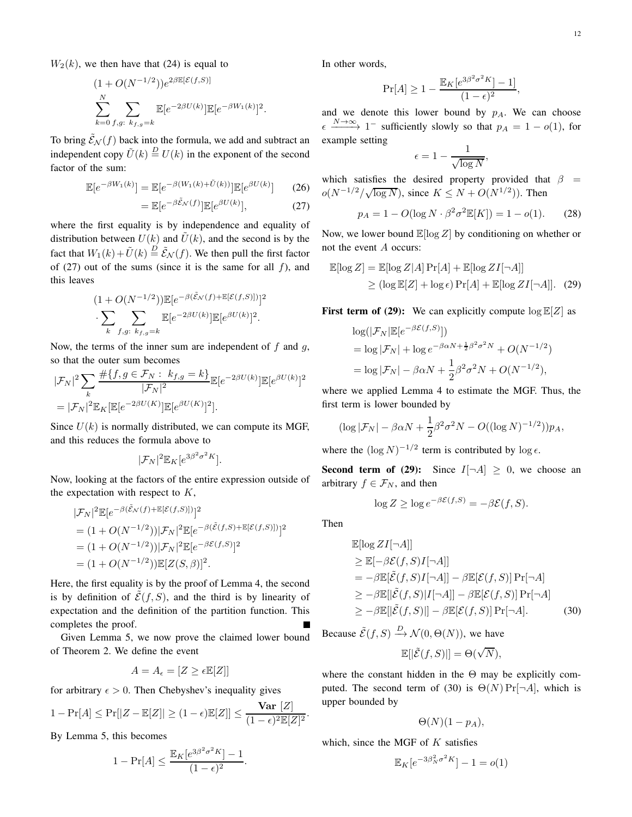$W_2(k)$ , we then have that (24) is equal to

$$
(1 + O(N^{-1/2}))e^{2\beta \mathbb{E}[\mathcal{E}(f,S)]}
$$

$$
\sum_{k=0}^{N} \sum_{f,g: k_{f,g}=k} \mathbb{E}[e^{-2\beta U(k)}] \mathbb{E}[e^{-\beta W_1(k)}]^2.
$$

To bring  $\tilde{\mathcal{E}}_{\mathcal{N}}(f)$  back into the formula, we add and subtract an independent copy  $\tilde{U}(k) \stackrel{D}{=} U(k)$  in the exponent of the second factor of the sum:

$$
\mathbb{E}[e^{-\beta W_1(k)}] = \mathbb{E}[e^{-\beta(W_1(k) + \tilde{U}(k))}]\mathbb{E}[e^{\beta U(k)}]
$$
 (26)

$$
= \mathbb{E}[e^{-\beta \tilde{\mathcal{E}}_{\mathcal{N}}(f)}] \mathbb{E}[e^{\beta U(k)}], \tag{27}
$$

where the first equality is by independence and equality of distribution between  $U(k)$  and  $\tilde{U}(k)$ , and the second is by the fact that  $W_1(k) + \tilde{U}(k) \stackrel{D}{=} \tilde{\mathcal{E}}_{\mathcal{N}}(f)$ . We then pull the first factor of (27) out of the sums (since it is the same for all  $f$ ), and this leaves

$$
(1 + O(N^{-1/2})) \mathbb{E}[e^{-\beta(\tilde{\mathcal{E}}_{\mathcal{N}}(f) + \mathbb{E}[\mathcal{E}(f,S)])}]^{2}
$$

$$
\sum_{k} \sum_{f,g: k_{f,g} = k} \mathbb{E}[e^{-2\beta U(k)}] \mathbb{E}[e^{\beta U(k)}]^{2}.
$$

Now, the terms of the inner sum are independent of  $f$  and  $g$ , so that the outer sum becomes

$$
|\mathcal{F}_N|^2 \sum_k \frac{\#\{f, g \in \mathcal{F}_N : k_{f,g} = k\}}{|\mathcal{F}_N|^2} \mathbb{E}[e^{-2\beta U(k)}] \mathbb{E}[e^{\beta U(k)}]^2
$$
  
=  $|\mathcal{F}_N|^2 \mathbb{E}_K[\mathbb{E}[e^{-2\beta U(K)}] \mathbb{E}[e^{\beta U(K)}]^2].$ 

Since  $U(k)$  is normally distributed, we can compute its MGF, and this reduces the formula above to

$$
|\mathcal{F}_N|^2 \mathbb{E}_K[e^{3\beta^2 \sigma^2 K}].
$$

Now, looking at the factors of the entire expression outside of the expectation with respect to  $K$ ,

$$
\begin{aligned} |\mathcal{F}_N|^2 \mathbb{E} [e^{-\beta(\tilde{\mathcal{E}}_N(f) + \mathbb{E}[\mathcal{E}(f,S)])}]^2 \\ &= (1 + O(N^{-1/2})) |\mathcal{F}_N|^2 \mathbb{E} [e^{-\beta(\tilde{\mathcal{E}}(f,S) + \mathbb{E}[\mathcal{E}(f,S)])}]^2 \\ &= (1 + O(N^{-1/2})) |\mathcal{F}_N|^2 \mathbb{E} [e^{-\beta \mathcal{E}(f,S)}]^2 \\ &= (1 + O(N^{-1/2})) \mathbb{E} [Z(S,\beta)]^2. \end{aligned}
$$

Here, the first equality is by the proof of Lemma 4, the second is by definition of  $\tilde{\mathcal{E}}(f, S)$ , and the third is by linearity of expectation and the definition of the partition function. This completes the proof.

Given Lemma 5, we now prove the claimed lower bound of Theorem 2. We define the event

$$
A=A_\epsilon=[Z\geq \epsilon\mathbb{E}[Z]]
$$

for arbitrary  $\epsilon > 0$ . Then Chebyshev's inequality gives

$$
1-\Pr[A] \le \Pr[|Z - \mathbb{E}[Z]| \ge (1-\epsilon)\mathbb{E}[Z]] \le \frac{\text{Var}[Z]}{(1-\epsilon)^2 \mathbb{E}[Z]^2}.
$$

By Lemma 5, this becomes

$$
1 - \Pr[A] \le \frac{\mathbb{E}_K[e^{3\beta^2 \sigma^2 K}] - 1}{(1 - \epsilon)^2}
$$

.

In other words,

$$
\Pr[A] \ge 1 - \frac{\mathbb{E}_K[e^{3\beta^2 \sigma^2 K}] - 1]}{(1 - \epsilon)^2},
$$

and we denote this lower bound by  $p_A$ . We can choose  $\epsilon \xrightarrow{N \to \infty} 1^-$  sufficiently slowly so that  $p_A = 1 - o(1)$ , for example setting

$$
\epsilon = 1 - \frac{1}{\sqrt{\log N}},
$$

which satisfies the desired property provided that  $\beta =$  $o(N^{-1/2}/\sqrt{\log N})$ , since  $K \le N + O(N^{1/2})$ ). Then

$$
p_A = 1 - O(\log N \cdot \beta^2 \sigma^2 \mathbb{E}[K]) = 1 - o(1). \tag{28}
$$

Now, we lower bound  $\mathbb{E}[\log Z]$  by conditioning on whether or not the event A occurs:

$$
\mathbb{E}[\log Z] = \mathbb{E}[\log Z|A] \Pr[A] + \mathbb{E}[\log ZI[\neg A]]
$$
  
\n
$$
\geq (\log \mathbb{E}[Z] + \log \epsilon) \Pr[A] + \mathbb{E}[\log ZI[\neg A]]. \quad (29)
$$

First term of (29): We can explicitly compute  $\log \mathbb{E}[Z]$  as

$$
\log(|\mathcal{F}_N| \mathbb{E}[e^{-\beta \mathcal{E}(f,S)}])
$$
  
=  $\log |\mathcal{F}_N| + \log e^{-\beta \alpha N + \frac{1}{2}\beta^2 \sigma^2 N} + O(N^{-1/2})$   
=  $\log |\mathcal{F}_N| - \beta \alpha N + \frac{1}{2}\beta^2 \sigma^2 N + O(N^{-1/2}),$ 

where we applied Lemma 4 to estimate the MGF. Thus, the first term is lower bounded by

$$
(\log |\mathcal{F}_N| - \beta \alpha N + \frac{1}{2} \beta^2 \sigma^2 N - O((\log N)^{-1/2}))p_A,
$$

where the  $(\log N)^{-1/2}$  term is contributed by  $\log \epsilon$ .

**Second term of (29):** Since  $I[\neg A] \geq 0$ , we choose an arbitrary  $f \in \mathcal{F}_N$ , and then

$$
\log Z \ge \log e^{-\beta \mathcal{E}(f,S)} = -\beta \mathcal{E}(f,S).
$$

Then

$$
\mathbb{E}[\log ZI[\neg A]]
$$
\n
$$
\geq \mathbb{E}[-\beta \mathcal{E}(f, S)I[\neg A]]
$$
\n
$$
= -\beta \mathbb{E}[\tilde{\mathcal{E}}(f, S)I[\neg A]] - \beta \mathbb{E}[\mathcal{E}(f, S)] \Pr[\neg A]
$$
\n
$$
\geq -\beta \mathbb{E}[\tilde{\mathcal{E}}(f, S)|I[\neg A]] - \beta \mathbb{E}[\mathcal{E}(f, S)] \Pr[\neg A]
$$
\n
$$
\geq -\beta \mathbb{E}[\tilde{\mathcal{E}}(f, S)] - \beta \mathbb{E}[\mathcal{E}(f, S)] \Pr[\neg A].
$$
\n(30)

Because  $\tilde{\mathcal{E}}(f, S) \stackrel{D}{\longrightarrow} \mathcal{N}(0, \Theta(N))$ , we have

$$
\mathbb{E}[|\tilde{\mathcal{E}}(f,S)|] = \Theta(\sqrt{N}),
$$

where the constant hidden in the  $\Theta$  may be explicitly computed. The second term of (30) is  $\Theta(N) \Pr[\neg A]$ , which is upper bounded by

$$
\Theta(N)(1-p_A),
$$

which, since the MGF of  $K$  satisfies

$$
\mathbb{E}_K[e^{-3\beta_N^2 \sigma^2 K}] - 1 = o(1)
$$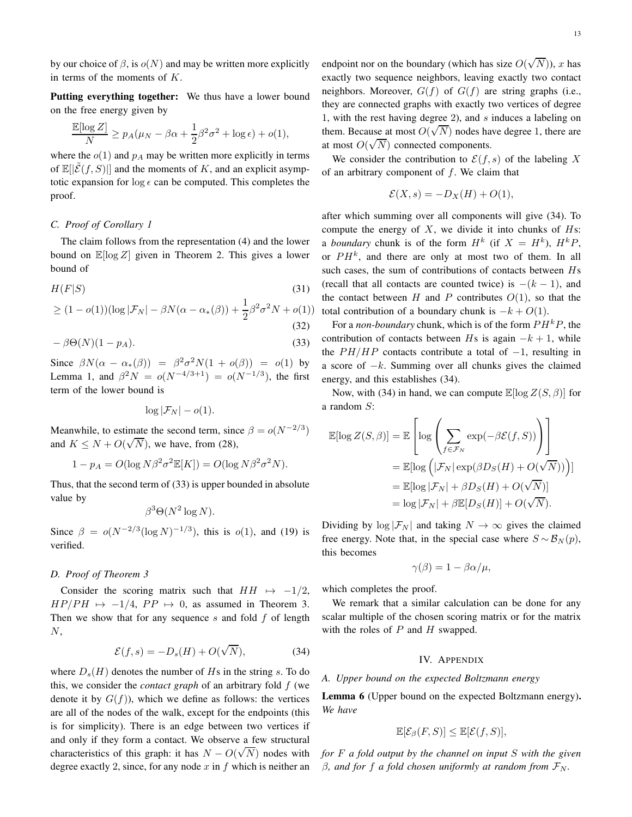by our choice of  $\beta$ , is  $o(N)$  and may be written more explicitly in terms of the moments of K.

Putting everything together: We thus have a lower bound on the free energy given by

$$
\frac{\mathbb{E}[\log Z]}{N} \ge p_A(\mu_N - \beta\alpha + \frac{1}{2}\beta^2\sigma^2 + \log \epsilon) + o(1),
$$

where the  $o(1)$  and  $p_A$  may be written more explicitly in terms of  $\mathbb{E}[|\mathcal{E}(f, S)|]$  and the moments of K, and an explicit asymptotic expansion for  $\log \epsilon$  can be computed. This completes the proof.

# *C. Proof of Corollary 1*

The claim follows from the representation (4) and the lower bound on  $\mathbb{E}[\log Z]$  given in Theorem 2. This gives a lower bound of

$$
H(F|S) \tag{31}
$$

$$
\geq (1 - o(1))(\log |\mathcal{F}_N| - \beta N(\alpha - \alpha_*(\beta)) + \frac{1}{2}\beta^2 \sigma^2 N + o(1))
$$
\n(32)

$$
-\beta\Theta(N)(1-p_A). \tag{33}
$$

Since  $\beta N(\alpha - \alpha_*(\beta)) = \beta^2 \sigma^2 N(1 + o(\beta)) = o(1)$  by Lemma 1, and  $\beta^2 N = o(N^{-4/3+1}) = o(N^{-1/3})$ , the first term of the lower bound is

$$
\log|\mathcal{F}_N|-o(1).
$$

Meanwhile, to estimate the second term, since  $\beta = o(N^{-2/3})$ and  $K \leq N + O(\sqrt{N})$ , we have, from (28),

$$
1 - p_A = O(\log N \beta^2 \sigma^2 \mathbb{E}[K]) = O(\log N \beta^2 \sigma^2 N).
$$

Thus, that the second term of (33) is upper bounded in absolute value by

$$
\beta^3 \Theta(N^2 \log N).
$$

Since  $\beta = o(N^{-2/3} (\log N)^{-1/3})$ , this is  $o(1)$ , and (19) is verified.

## *D. Proof of Theorem 3*

Consider the scoring matrix such that  $HH \rightarrow -1/2$ ,  $HP/PH \rightarrow -1/4$ ,  $PP \rightarrow 0$ , as assumed in Theorem 3. Then we show that for any sequence s and fold  $f$  of length  $N$ ,

$$
\mathcal{E}(f,s) = -D_s(H) + O(\sqrt{N}),\tag{34}
$$

where  $D_s(H)$  denotes the number of Hs in the string s. To do this, we consider the *contact graph* of an arbitrary fold f (we denote it by  $G(f)$ , which we define as follows: the vertices are all of the nodes of the walk, except for the endpoints (this is for simplicity). There is an edge between two vertices if and only if they form a contact. We observe a few structural characteristics of this graph: it has  $N - O(\sqrt{N})$  nodes with degree exactly 2, since, for any node  $x$  in  $f$  which is neither an

endpoint nor on the boundary (which has size  $O(\sqrt{N})$ ), x has exactly two sequence neighbors, leaving exactly two contact neighbors. Moreover,  $G(f)$  of  $G(f)$  are string graphs (i.e., they are connected graphs with exactly two vertices of degree 1, with the rest having degree 2), and  $s$  induces a labeling on them. Because at most  $O(\sqrt{N})$  nodes have degree 1, there are at most  $O(\sqrt{N})$  connected components.

We consider the contribution to  $\mathcal{E}(f, s)$  of the labeling X of an arbitrary component of  $f$ . We claim that

$$
\mathcal{E}(X,s) = -D_X(H) + O(1),
$$

after which summing over all components will give (34). To compute the energy of  $X$ , we divide it into chunks of  $Hs$ : a *boundary* chunk is of the form  $H^k$  (if  $X = H^k$ ),  $H^k P$ , or  $PH<sup>k</sup>$ , and there are only at most two of them. In all such cases, the sum of contributions of contacts between  $Hs$ (recall that all contacts are counted twice) is  $-(k-1)$ , and the contact between H and P contributes  $O(1)$ , so that the total contribution of a boundary chunk is  $-k + O(1)$ .

For a *non-boundary* chunk, which is of the form  $PH<sup>k</sup>P$ , the contribution of contacts between Hs is again  $-k+1$ , while the  $PH/HP$  contacts contribute a total of  $-1$ , resulting in a score of  $-k$ . Summing over all chunks gives the claimed energy, and this establishes (34).

Now, with (34) in hand, we can compute  $\mathbb{E}[\log Z(S, \beta)]$  for a random S:

$$
\mathbb{E}[\log Z(S, \beta)] = \mathbb{E}\left[\log\left(\sum_{f \in \mathcal{F}_N} \exp(-\beta \mathcal{E}(f, S))\right)\right]
$$
  
= 
$$
\mathbb{E}[\log\left(|\mathcal{F}_N| \exp(\beta D_S(H) + O(\sqrt{N}))\right)]
$$
  
= 
$$
\mathbb{E}[\log |\mathcal{F}_N| + \beta D_S(H) + O(\sqrt{N})]
$$
  
= 
$$
\log |\mathcal{F}_N| + \beta \mathbb{E}[D_S(H)] + O(\sqrt{N}).
$$

Dividing by  $\log |\mathcal{F}_N|$  and taking  $N \to \infty$  gives the claimed free energy. Note that, in the special case where  $S \sim B_N(p)$ , this becomes

$$
\gamma(\beta) = 1 - \beta \alpha / \mu,
$$

which completes the proof.

We remark that a similar calculation can be done for any scalar multiple of the chosen scoring matrix or for the matrix with the roles of  $P$  and  $H$  swapped.

## IV. APPENDIX

## *A. Upper bound on the expected Boltzmann energy*

Lemma 6 (Upper bound on the expected Boltzmann energy). *We have*

$$
\mathbb{E}[\mathcal{E}_{\beta}(F,S)] \leq \mathbb{E}[\mathcal{E}(f,S)],
$$

*for* F *a fold output by the channel on input* S *with the given* β, and for f a fold chosen uniformly at random from  $F_N$ .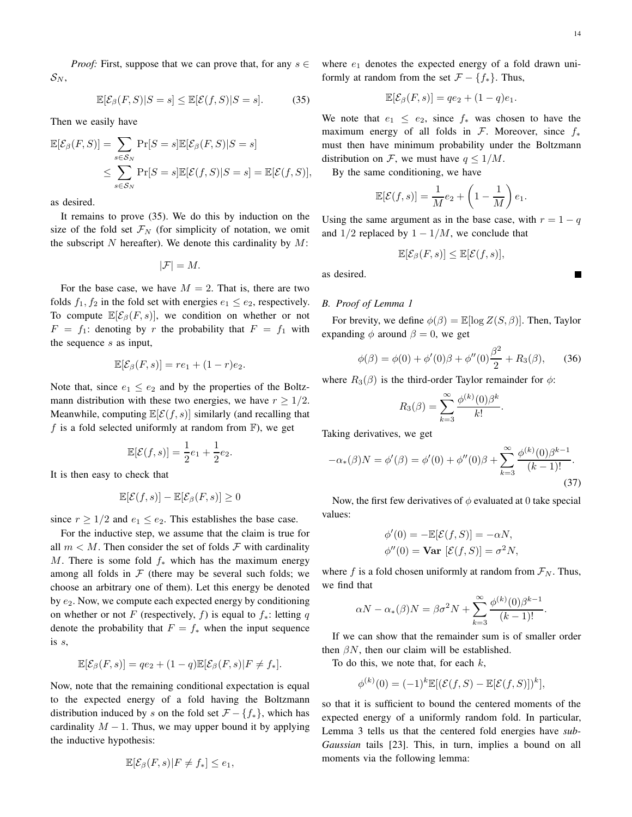Г

*Proof:* First, suppose that we can prove that, for any  $s \in$  $\mathcal{S}_N$ ,

$$
\mathbb{E}[\mathcal{E}_{\beta}(F,S)|S=s] \le \mathbb{E}[\mathcal{E}(f,S)|S=s]. \tag{35}
$$

Then we easily have

$$
\mathbb{E}[\mathcal{E}_{\beta}(F,S)] = \sum_{s \in \mathcal{S}_N} \Pr[S=s] \mathbb{E}[\mathcal{E}_{\beta}(F,S)|S=s] \leq \sum_{s \in \mathcal{S}_N} \Pr[S=s] \mathbb{E}[\mathcal{E}(f,S)|S=s] = \mathbb{E}[\mathcal{E}(f,S)],
$$

as desired.

It remains to prove (35). We do this by induction on the size of the fold set  $\mathcal{F}_N$  (for simplicity of notation, we omit the subscript  $N$  hereafter). We denote this cardinality by  $M$ :

$$
|\mathcal{F}|=M.
$$

For the base case, we have  $M = 2$ . That is, there are two folds  $f_1, f_2$  in the fold set with energies  $e_1 \le e_2$ , respectively. To compute  $\mathbb{E}[\mathcal{E}_{\beta}(F, s)]$ , we condition on whether or not  $F = f_1$ : denoting by r the probability that  $F = f_1$  with the sequence s as input,

$$
\mathbb{E}[\mathcal{E}_{\beta}(F,s)] = re_1 + (1-r)e_2.
$$

Note that, since  $e_1 \leq e_2$  and by the properties of the Boltzmann distribution with these two energies, we have  $r \geq 1/2$ . Meanwhile, computing  $\mathbb{E}[\mathcal{E}(f, s)]$  similarly (and recalling that f is a fold selected uniformly at random from  $\mathbb{F}$ ), we get

$$
\mathbb{E}[\mathcal{E}(f,s)] = \frac{1}{2}e_1 + \frac{1}{2}e_2.
$$

It is then easy to check that

$$
\mathbb{E}[\mathcal{E}(f,s)] - \mathbb{E}[\mathcal{E}_{\beta}(F,s)] \ge 0
$$

since  $r \geq 1/2$  and  $e_1 \leq e_2$ . This establishes the base case.

For the inductive step, we assume that the claim is true for all  $m < M$ . Then consider the set of folds  $\mathcal F$  with cardinality M. There is some fold  $f_*$  which has the maximum energy among all folds in  $F$  (there may be several such folds; we choose an arbitrary one of them). Let this energy be denoted by  $e_2$ . Now, we compute each expected energy by conditioning on whether or not F (respectively, f) is equal to  $f_*$ : letting q denote the probability that  $F = f_*$  when the input sequence is s,

$$
\mathbb{E}[\mathcal{E}_{\beta}(F,s)] = qe_2 + (1-q)\mathbb{E}[\mathcal{E}_{\beta}(F,s)|F \neq f_*].
$$

Now, note that the remaining conditional expectation is equal to the expected energy of a fold having the Boltzmann distribution induced by s on the fold set  $\mathcal{F} - \{f_*\}$ , which has cardinality  $M - 1$ . Thus, we may upper bound it by applying the inductive hypothesis:

$$
\mathbb{E}[\mathcal{E}_{\beta}(F,s)|F\neq f_*]\leq e_1,
$$

where  $e_1$  denotes the expected energy of a fold drawn uniformly at random from the set  $\mathcal{F} - \{f_*\}$ . Thus,

$$
\mathbb{E}[\mathcal{E}_{\beta}(F,s)] = qe_2 + (1-q)e_1.
$$

We note that  $e_1 \le e_2$ , since  $f_*$  was chosen to have the maximum energy of all folds in F. Moreover, since  $f_*$ must then have minimum probability under the Boltzmann distribution on F, we must have  $q \leq 1/M$ .

By the same conditioning, we have

$$
\mathbb{E}[\mathcal{E}(f,s)] = \frac{1}{M}e_2 + \left(1 - \frac{1}{M}\right)e_1.
$$

Using the same argument as in the base case, with  $r = 1 - q$ and  $1/2$  replaced by  $1 - 1/M$ , we conclude that

$$
\mathbb{E}[\mathcal{E}_{\beta}(F,s)] \leq \mathbb{E}[\mathcal{E}(f,s)],
$$

as desired.

#### *B. Proof of Lemma 1*

For brevity, we define  $\phi(\beta) = \mathbb{E}[\log Z(S, \beta)]$ . Then, Taylor expanding  $\phi$  around  $\beta = 0$ , we get

$$
\phi(\beta) = \phi(0) + \phi'(0)\beta + \phi''(0)\frac{\beta^2}{2} + R_3(\beta), \quad (36)
$$

where  $R_3(\beta)$  is the third-order Taylor remainder for  $\phi$ :

$$
R_3(\beta) = \sum_{k=3}^{\infty} \frac{\phi^{(k)}(0)\beta^k}{k!}.
$$

Taking derivatives, we get

$$
-\alpha_{*}(\beta)N = \phi'(\beta) = \phi'(0) + \phi''(0)\beta + \sum_{k=3}^{\infty} \frac{\phi^{(k)}(0)\beta^{k-1}}{(k-1)!}.
$$
\n(37)

Now, the first few derivatives of  $\phi$  evaluated at 0 take special values:

$$
\phi'(0) = -\mathbb{E}[\mathcal{E}(f, S)] = -\alpha N,
$$
  

$$
\phi''(0) = \mathbf{Var} [\mathcal{E}(f, S)] = \sigma^2 N,
$$

where f is a fold chosen uniformly at random from  $\mathcal{F}_N$ . Thus, we find that

$$
\alpha N - \alpha_{*}(\beta)N = \beta \sigma^{2} N + \sum_{k=3}^{\infty} \frac{\phi^{(k)}(0)\beta^{k-1}}{(k-1)!}.
$$

If we can show that the remainder sum is of smaller order then  $\beta N$ , then our claim will be established.

To do this, we note that, for each  $k$ ,

$$
\phi^{(k)}(0) = (-1)^k \mathbb{E}[(\mathcal{E}(f, S) - \mathbb{E}[\mathcal{E}(f, S)])^k],
$$

so that it is sufficient to bound the centered moments of the expected energy of a uniformly random fold. In particular, Lemma 3 tells us that the centered fold energies have *sub-Gaussian* tails [23]. This, in turn, implies a bound on all moments via the following lemma: